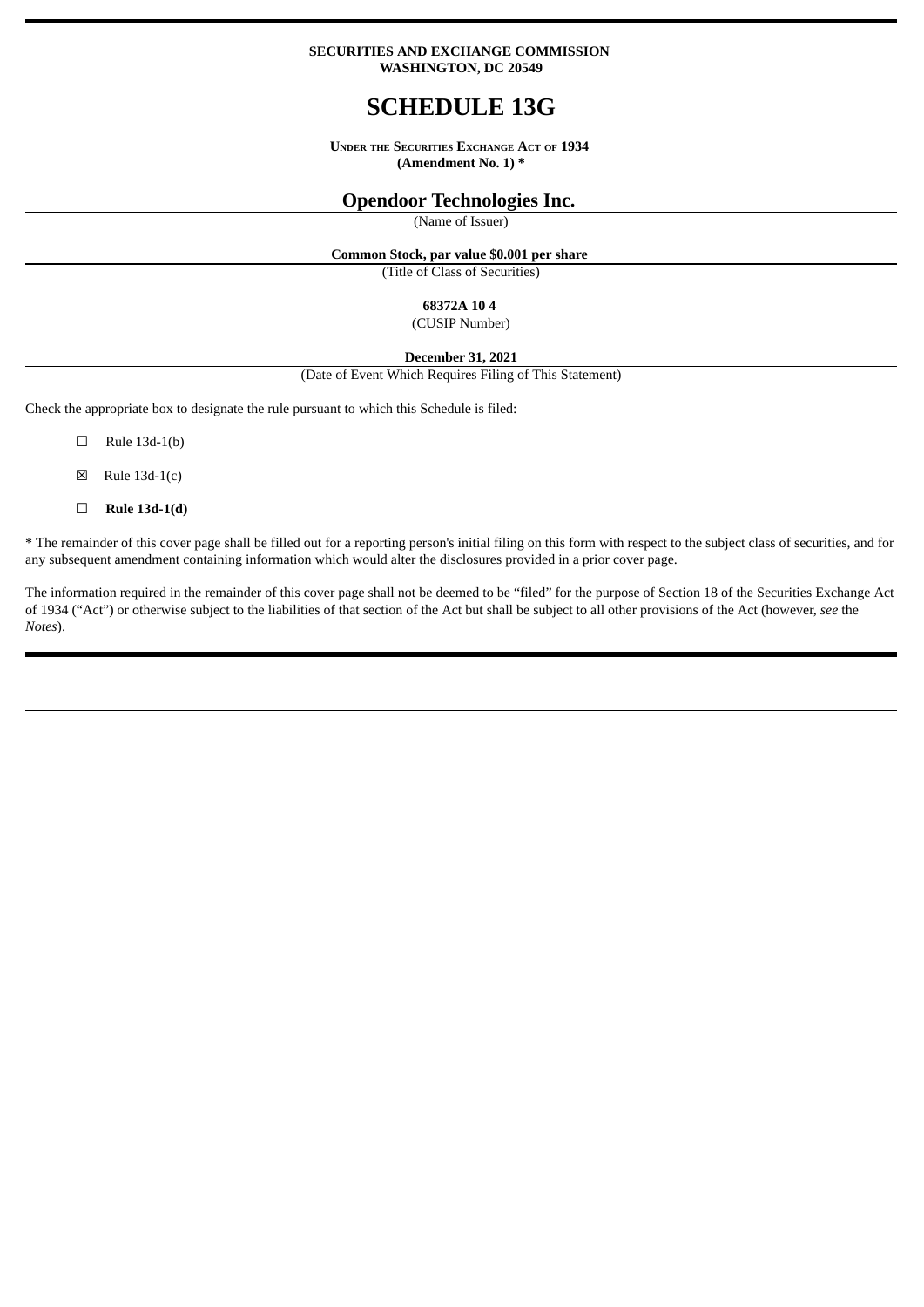#### **SECURITIES AND EXCHANGE COMMISSION WASHINGTON, DC 20549**

# **SCHEDULE 13G**

**UNDER THE SECURITIES EXCHANGE ACT OF 1934 (Amendment No. 1) \***

## **Opendoor Technologies Inc.**

(Name of Issuer)

**Common Stock, par value \$0.001 per share**

(Title of Class of Securities)

### **68372A 10 4**

(CUSIP Number)

#### **December 31, 2021**

(Date of Event Which Requires Filing of This Statement)

Check the appropriate box to designate the rule pursuant to which this Schedule is filed:

 $\Box$  Rule 13d-1(b)

 $\boxtimes$  Rule 13d-1(c)

☐ **Rule 13d-1(d)**

\* The remainder of this cover page shall be filled out for a reporting person's initial filing on this form with respect to the subject class of securities, and for any subsequent amendment containing information which would alter the disclosures provided in a prior cover page.

The information required in the remainder of this cover page shall not be deemed to be "filed" for the purpose of Section 18 of the Securities Exchange Act of 1934 ("Act") or otherwise subject to the liabilities of that section of the Act but shall be subject to all other provisions of the Act (however, *see* the *Notes*).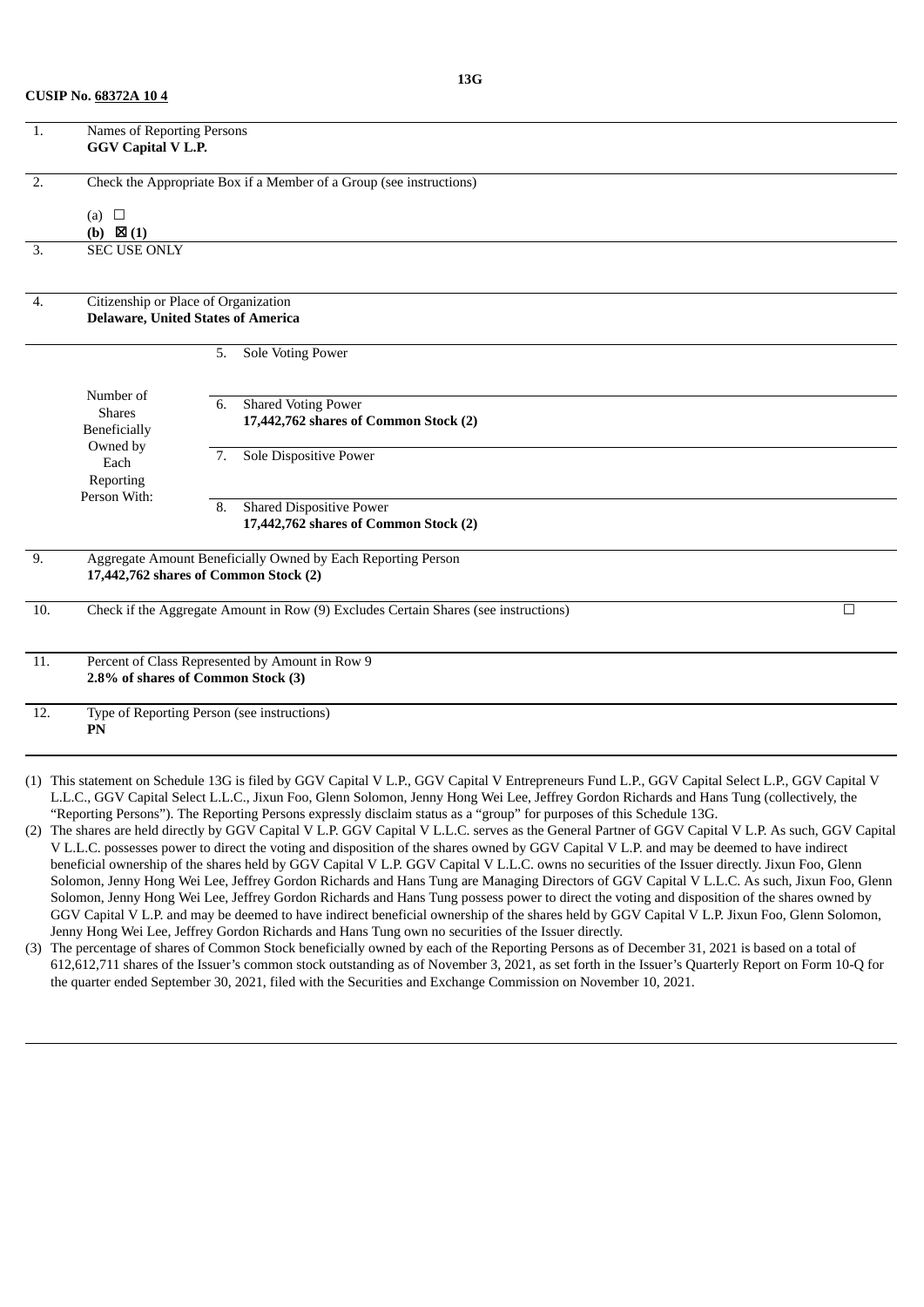| 1.                | Names of Reporting Persons<br><b>GGV Capital V L.P.</b> |                                                                                                                                                  |        |
|-------------------|---------------------------------------------------------|--------------------------------------------------------------------------------------------------------------------------------------------------|--------|
| $\overline{2}$ .  |                                                         | Check the Appropriate Box if a Member of a Group (see instructions)                                                                              |        |
|                   | (a) $\square$<br>(b) $\boxtimes$ (1)                    |                                                                                                                                                  |        |
| 3.                | <b>SEC USE ONLY</b>                                     |                                                                                                                                                  |        |
| 4.                |                                                         | Citizenship or Place of Organization                                                                                                             |        |
|                   |                                                         | <b>Delaware, United States of America</b>                                                                                                        |        |
|                   |                                                         | 5.<br>Sole Voting Power                                                                                                                          |        |
|                   |                                                         |                                                                                                                                                  |        |
|                   | Number of<br><b>Shares</b>                              | Shared Voting Power<br>6.                                                                                                                        |        |
|                   | Beneficially                                            | 17,442,762 shares of Common Stock (2)                                                                                                            |        |
|                   | Owned by                                                |                                                                                                                                                  |        |
|                   | Each                                                    | Sole Dispositive Power<br>7.                                                                                                                     |        |
|                   | Reporting                                               |                                                                                                                                                  |        |
|                   | Person With:                                            | <b>Shared Dispositive Power</b><br>8.                                                                                                            |        |
|                   |                                                         | 17,442,762 shares of Common Stock (2)                                                                                                            |        |
| 9.                |                                                         | Aggregate Amount Beneficially Owned by Each Reporting Person                                                                                     |        |
|                   |                                                         | 17,442,762 shares of Common Stock (2)                                                                                                            |        |
|                   |                                                         |                                                                                                                                                  |        |
| 10.               |                                                         | Check if the Aggregate Amount in Row (9) Excludes Certain Shares (see instructions)                                                              | $\Box$ |
| $\overline{11}$ . |                                                         | Percent of Class Represented by Amount in Row 9                                                                                                  |        |
|                   |                                                         | 2.8% of shares of Common Stock (3)                                                                                                               |        |
| 12.               |                                                         | Type of Reporting Person (see instructions)                                                                                                      |        |
|                   | PN                                                      |                                                                                                                                                  |        |
|                   |                                                         |                                                                                                                                                  |        |
|                   |                                                         | (1) This statement on Schedule 13G is filed by GGV Capital V L.P., GGV Capital V Entrepreneurs Fund L.P., GGV Capital Select L.P., GGV Capital V |        |
|                   |                                                         | IIC CCV Capital Select IIC Jivun Foo Clean Selemon, Jenny Hong Wei Lee, Jeffrey Cordon Richards and Hans Tung Collectively the                   |        |

- C., GGV Capital Select L.L.C., Jixun Foo, Glenn Solomon, Jenny Hong Wei Lee, Jeffrey Gordon Richards and Hans Tung (collectively, the "Reporting Persons"). The Reporting Persons expressly disclaim status as a "group" for purposes of this Schedule 13G.
- (2) The shares are held directly by GGV Capital V L.P. GGV Capital V L.L.C. serves as the General Partner of GGV Capital V L.P. As such, GGV Capital V L.L.C. possesses power to direct the voting and disposition of the shares owned by GGV Capital V L.P. and may be deemed to have indirect beneficial ownership of the shares held by GGV Capital V L.P. GGV Capital V L.L.C. owns no securities of the Issuer directly. Jixun Foo, Glenn Solomon, Jenny Hong Wei Lee, Jeffrey Gordon Richards and Hans Tung are Managing Directors of GGV Capital V L.L.C. As such, Jixun Foo, Glenn Solomon, Jenny Hong Wei Lee, Jeffrey Gordon Richards and Hans Tung possess power to direct the voting and disposition of the shares owned by GGV Capital V L.P. and may be deemed to have indirect beneficial ownership of the shares held by GGV Capital V L.P. Jixun Foo, Glenn Solomon, Jenny Hong Wei Lee, Jeffrey Gordon Richards and Hans Tung own no securities of the Issuer directly.
- (3) The percentage of shares of Common Stock beneficially owned by each of the Reporting Persons as of December 31, 2021 is based on a total of 612,612,711 shares of the Issuer's common stock outstanding as of November 3, 2021, as set forth in the Issuer's Quarterly Report on Form 10-Q for the quarter ended September 30, 2021, filed with the Securities and Exchange Commission on November 10, 2021.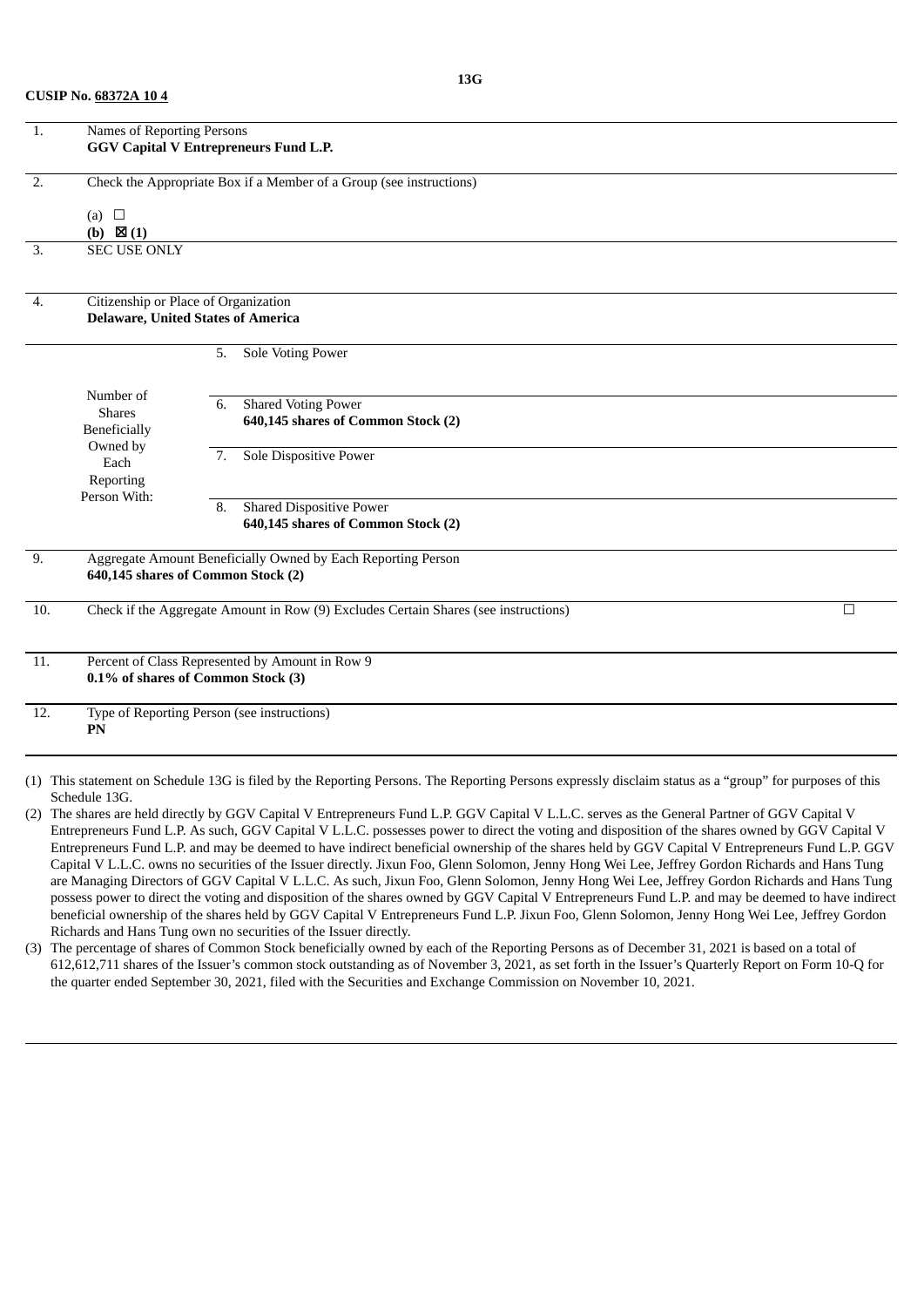| $\overline{1}$ .  | <b>Names of Reporting Persons</b>    | <b>GGV Capital V Entrepreneurs Fund L.P.</b>                                                       |        |
|-------------------|--------------------------------------|----------------------------------------------------------------------------------------------------|--------|
| $\overline{2}$ .  |                                      | Check the Appropriate Box if a Member of a Group (see instructions)                                |        |
|                   | (a) $\square$<br>(b) $\boxtimes$ (1) |                                                                                                    |        |
| 3.                | <b>SEC USE ONLY</b>                  |                                                                                                    |        |
| 4.                |                                      | Citizenship or Place of Organization                                                               |        |
|                   |                                      | <b>Delaware, United States of America</b>                                                          |        |
|                   |                                      | Sole Voting Power<br>5.                                                                            |        |
|                   | Number of                            |                                                                                                    |        |
|                   | <b>Shares</b>                        | <b>Shared Voting Power</b><br>6.<br>640,145 shares of Common Stock (2)                             |        |
|                   | Beneficially<br>Owned by             |                                                                                                    |        |
|                   | Each                                 | <b>Sole Dispositive Power</b><br>7.                                                                |        |
|                   | Reporting<br>Person With:            |                                                                                                    |        |
|                   |                                      | <b>Shared Dispositive Power</b><br>8.                                                              |        |
|                   |                                      | 640,145 shares of Common Stock (2)                                                                 |        |
| 9.                |                                      | Aggregate Amount Beneficially Owned by Each Reporting Person<br>640,145 shares of Common Stock (2) |        |
| 10.               |                                      | Check if the Aggregate Amount in Row (9) Excludes Certain Shares (see instructions)                | $\Box$ |
| 11.               |                                      | Percent of Class Represented by Amount in Row 9                                                    |        |
|                   |                                      | 0.1% of shares of Common Stock (3)                                                                 |        |
| $\overline{12}$ . | PN                                   | Type of Reporting Person (see instructions)                                                        |        |
|                   |                                      |                                                                                                    |        |

(1) This statement on Schedule 13G is filed by the Reporting Persons. The Reporting Persons expressly disclaim status as a "group" for purposes of this Schedule 13G.

(2) The shares are held directly by GGV Capital V Entrepreneurs Fund L.P. GGV Capital V L.L.C. serves as the General Partner of GGV Capital V Entrepreneurs Fund L.P. As such, GGV Capital V L.L.C. possesses power to direct the voting and disposition of the shares owned by GGV Capital V Entrepreneurs Fund L.P. and may be deemed to have indirect beneficial ownership of the shares held by GGV Capital V Entrepreneurs Fund L.P. GGV Capital V L.L.C. owns no securities of the Issuer directly. Jixun Foo, Glenn Solomon, Jenny Hong Wei Lee, Jeffrey Gordon Richards and Hans Tung are Managing Directors of GGV Capital V L.L.C. As such, Jixun Foo, Glenn Solomon, Jenny Hong Wei Lee, Jeffrey Gordon Richards and Hans Tung possess power to direct the voting and disposition of the shares owned by GGV Capital V Entrepreneurs Fund L.P. and may be deemed to have indirect beneficial ownership of the shares held by GGV Capital V Entrepreneurs Fund L.P. Jixun Foo, Glenn Solomon, Jenny Hong Wei Lee, Jeffrey Gordon Richards and Hans Tung own no securities of the Issuer directly.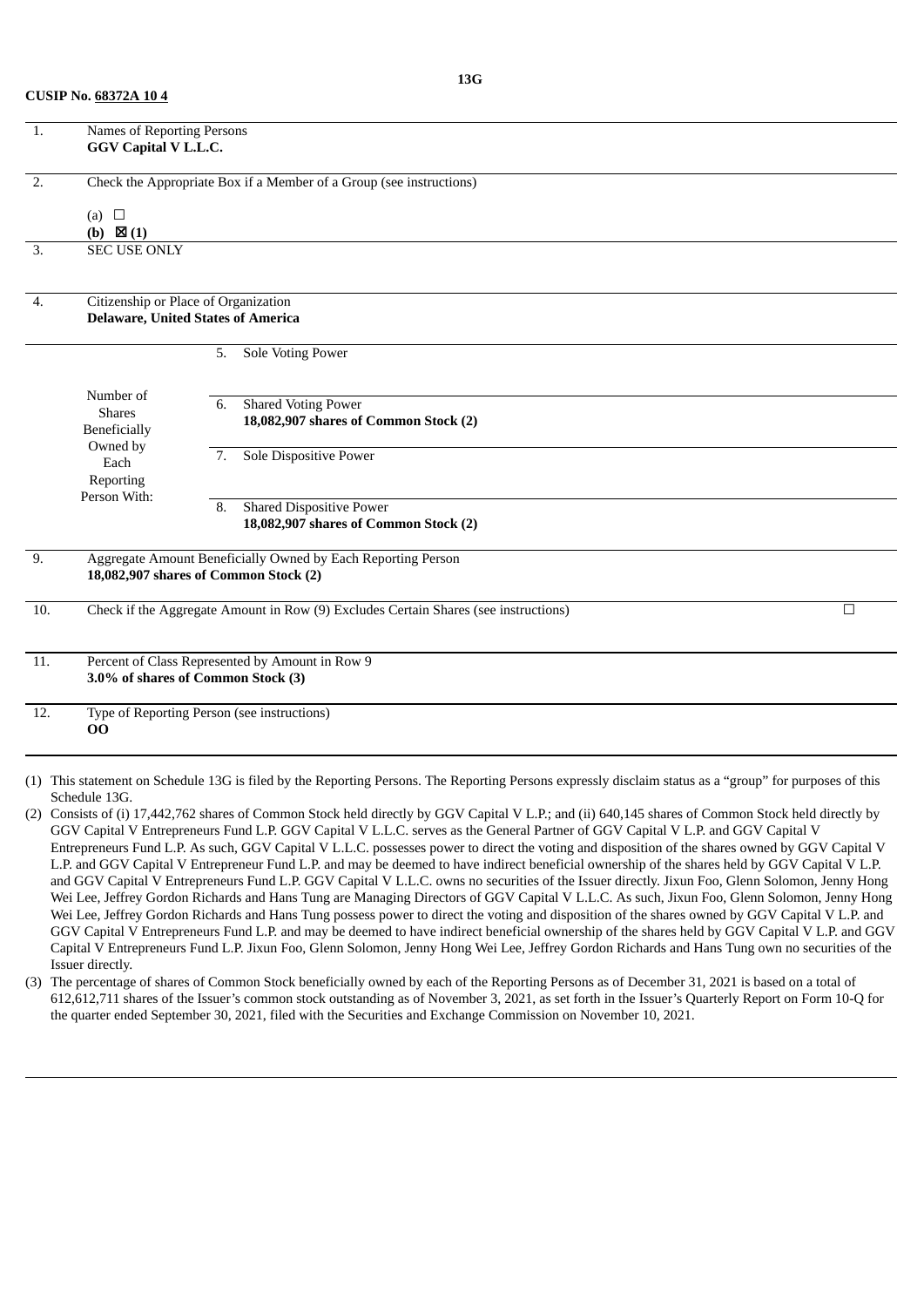| 1.               | Names of Reporting Persons<br><b>GGV Capital V L.L.C.</b> |                                                                                                       |        |
|------------------|-----------------------------------------------------------|-------------------------------------------------------------------------------------------------------|--------|
| $\overline{2}$ . |                                                           | Check the Appropriate Box if a Member of a Group (see instructions)                                   |        |
|                  | (a) $\square$<br>(b) $\boxtimes$ (1)                      |                                                                                                       |        |
| 3.               | <b>SEC USE ONLY</b>                                       |                                                                                                       |        |
| 4.               | Citizenship or Place of Organization                      |                                                                                                       |        |
|                  |                                                           | <b>Delaware, United States of America</b>                                                             |        |
|                  |                                                           | <b>Sole Voting Power</b><br>5.                                                                        |        |
|                  | Number of                                                 | <b>Shared Voting Power</b><br>6.                                                                      |        |
|                  | <b>Shares</b><br>Beneficially                             | 18,082,907 shares of Common Stock (2)                                                                 |        |
|                  | Owned by<br>Each<br>Reporting                             | <b>Sole Dispositive Power</b><br>7.                                                                   |        |
|                  | Person With:                                              | <b>Shared Dispositive Power</b><br>8.                                                                 |        |
|                  |                                                           | 18,082,907 shares of Common Stock (2)                                                                 |        |
| 9.               |                                                           | Aggregate Amount Beneficially Owned by Each Reporting Person<br>18,082,907 shares of Common Stock (2) |        |
| 10.              |                                                           | Check if the Aggregate Amount in Row (9) Excludes Certain Shares (see instructions)                   | $\Box$ |
| 11.              |                                                           | Percent of Class Represented by Amount in Row 9<br>3.0% of shares of Common Stock (3)                 |        |
| 12.              | 00                                                        | Type of Reporting Person (see instructions)                                                           |        |
|                  |                                                           |                                                                                                       |        |

(1) This statement on Schedule 13G is filed by the Reporting Persons. The Reporting Persons expressly disclaim status as a "group" for purposes of this Schedule 13G.

(2) Consists of (i) 17,442,762 shares of Common Stock held directly by GGV Capital V L.P.; and (ii) 640,145 shares of Common Stock held directly by GGV Capital V Entrepreneurs Fund L.P. GGV Capital V L.L.C. serves as the General Partner of GGV Capital V L.P. and GGV Capital V Entrepreneurs Fund L.P. As such, GGV Capital V L.L.C. possesses power to direct the voting and disposition of the shares owned by GGV Capital V L.P. and GGV Capital V Entrepreneur Fund L.P. and may be deemed to have indirect beneficial ownership of the shares held by GGV Capital V L.P. and GGV Capital V Entrepreneurs Fund L.P. GGV Capital V L.L.C. owns no securities of the Issuer directly. Jixun Foo, Glenn Solomon, Jenny Hong Wei Lee, Jeffrey Gordon Richards and Hans Tung are Managing Directors of GGV Capital V L.L.C. As such, Jixun Foo, Glenn Solomon, Jenny Hong Wei Lee, Jeffrey Gordon Richards and Hans Tung possess power to direct the voting and disposition of the shares owned by GGV Capital V L.P. and GGV Capital V Entrepreneurs Fund L.P. and may be deemed to have indirect beneficial ownership of the shares held by GGV Capital V L.P. and GGV Capital V Entrepreneurs Fund L.P. Jixun Foo, Glenn Solomon, Jenny Hong Wei Lee, Jeffrey Gordon Richards and Hans Tung own no securities of the Issuer directly.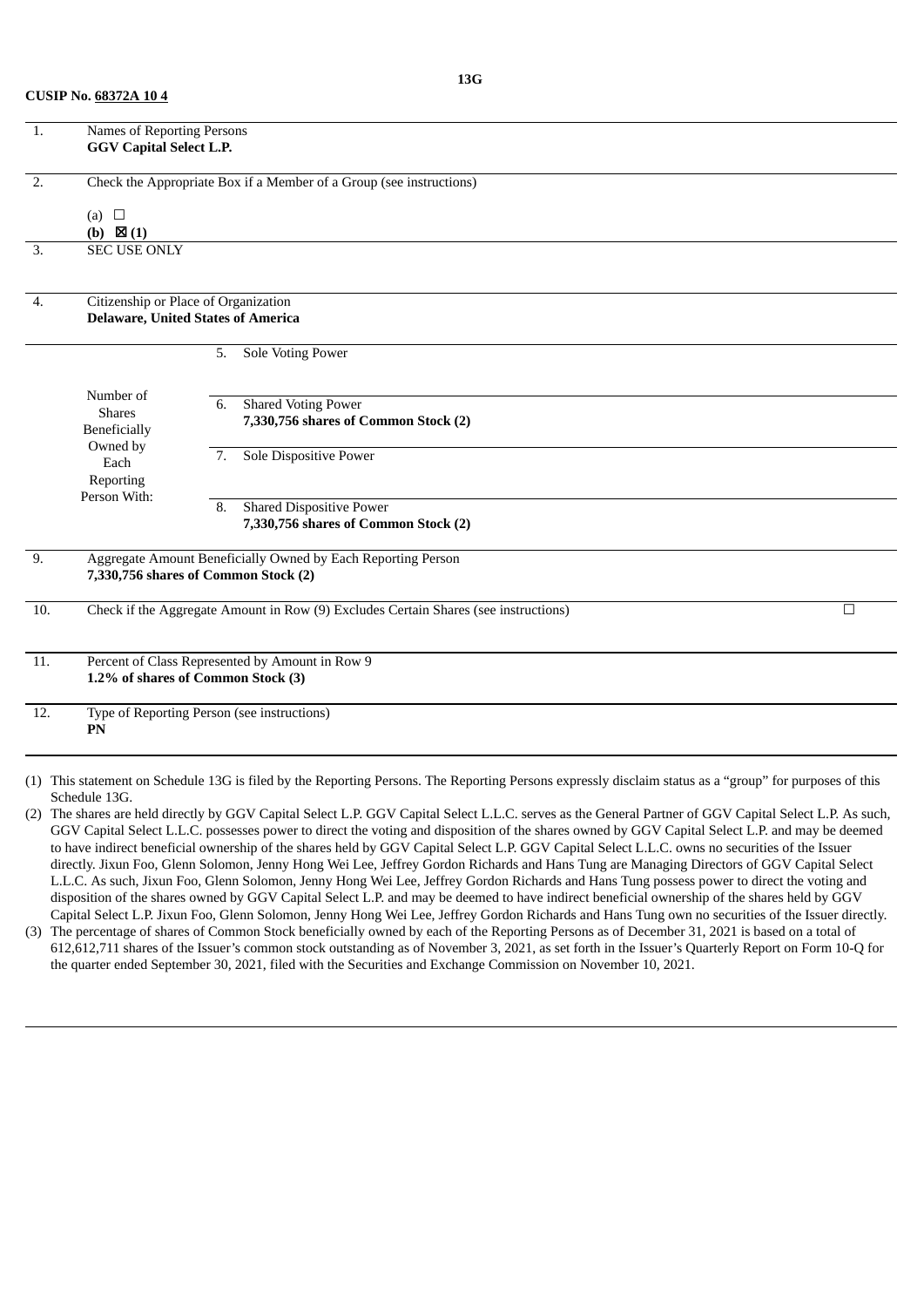| $\overline{1}$ .  | Names of Reporting Persons<br><b>GGV Capital Select L.P.</b> |                                                                                                                                                         |        |
|-------------------|--------------------------------------------------------------|---------------------------------------------------------------------------------------------------------------------------------------------------------|--------|
| $\overline{2}$ .  |                                                              | Check the Appropriate Box if a Member of a Group (see instructions)                                                                                     |        |
|                   |                                                              |                                                                                                                                                         |        |
|                   | (a) $\Box$<br>(b) $\boxtimes$ (1)                            |                                                                                                                                                         |        |
| 3.                | <b>SEC USE ONLY</b>                                          |                                                                                                                                                         |        |
|                   |                                                              |                                                                                                                                                         |        |
| 4.                | Citizenship or Place of Organization                         |                                                                                                                                                         |        |
|                   |                                                              | <b>Delaware, United States of America</b>                                                                                                               |        |
|                   |                                                              | Sole Voting Power<br>5.                                                                                                                                 |        |
|                   |                                                              |                                                                                                                                                         |        |
|                   | Number of                                                    | <b>Shared Voting Power</b><br>6.                                                                                                                        |        |
|                   | <b>Shares</b>                                                | 7,330,756 shares of Common Stock (2)                                                                                                                    |        |
|                   | Beneficially<br>Owned by                                     |                                                                                                                                                         |        |
|                   | Each                                                         | <b>Sole Dispositive Power</b><br>7.                                                                                                                     |        |
|                   | Reporting                                                    |                                                                                                                                                         |        |
|                   | Person With:                                                 | <b>Shared Dispositive Power</b><br>8.                                                                                                                   |        |
|                   |                                                              | 7,330,756 shares of Common Stock (2)                                                                                                                    |        |
| 9.                |                                                              | Aggregate Amount Beneficially Owned by Each Reporting Person                                                                                            |        |
|                   |                                                              | 7,330,756 shares of Common Stock (2)                                                                                                                    |        |
| 10.               |                                                              | Check if the Aggregate Amount in Row (9) Excludes Certain Shares (see instructions)                                                                     | $\Box$ |
|                   |                                                              |                                                                                                                                                         |        |
| $\overline{11}$ . |                                                              | Percent of Class Represented by Amount in Row 9                                                                                                         |        |
|                   |                                                              | 1.2% of shares of Common Stock (3)                                                                                                                      |        |
| 12.               |                                                              | Type of Reporting Person (see instructions)                                                                                                             |        |
|                   | ${\bf P}{\bf N}$                                             |                                                                                                                                                         |        |
|                   |                                                              |                                                                                                                                                         |        |
|                   |                                                              | (1) This statement on Schedule 13G is filed by the Reporting Persons. The Reporting Persons expressly disclaim status as a "group" for purposes of this |        |
|                   | Schedule 13G.                                                |                                                                                                                                                         |        |

(2) The shares are held directly by GGV Capital Select L.P. GGV Capital Select L.L.C. serves as the General Partner of GGV Capital Select L.P. As such, GGV Capital Select L.L.C. possesses power to direct the voting and disposition of the shares owned by GGV Capital Select L.P. and may be deemed to have indirect beneficial ownership of the shares held by GGV Capital Select L.P. GGV Capital Select L.L.C. owns no securities of the Issuer directly. Jixun Foo, Glenn Solomon, Jenny Hong Wei Lee, Jeffrey Gordon Richards and Hans Tung are Managing Directors of GGV Capital Select L.L.C. As such, Jixun Foo, Glenn Solomon, Jenny Hong Wei Lee, Jeffrey Gordon Richards and Hans Tung possess power to direct the voting and disposition of the shares owned by GGV Capital Select L.P. and may be deemed to have indirect beneficial ownership of the shares held by GGV Capital Select L.P. Jixun Foo, Glenn Solomon, Jenny Hong Wei Lee, Jeffrey Gordon Richards and Hans Tung own no securities of the Issuer directly.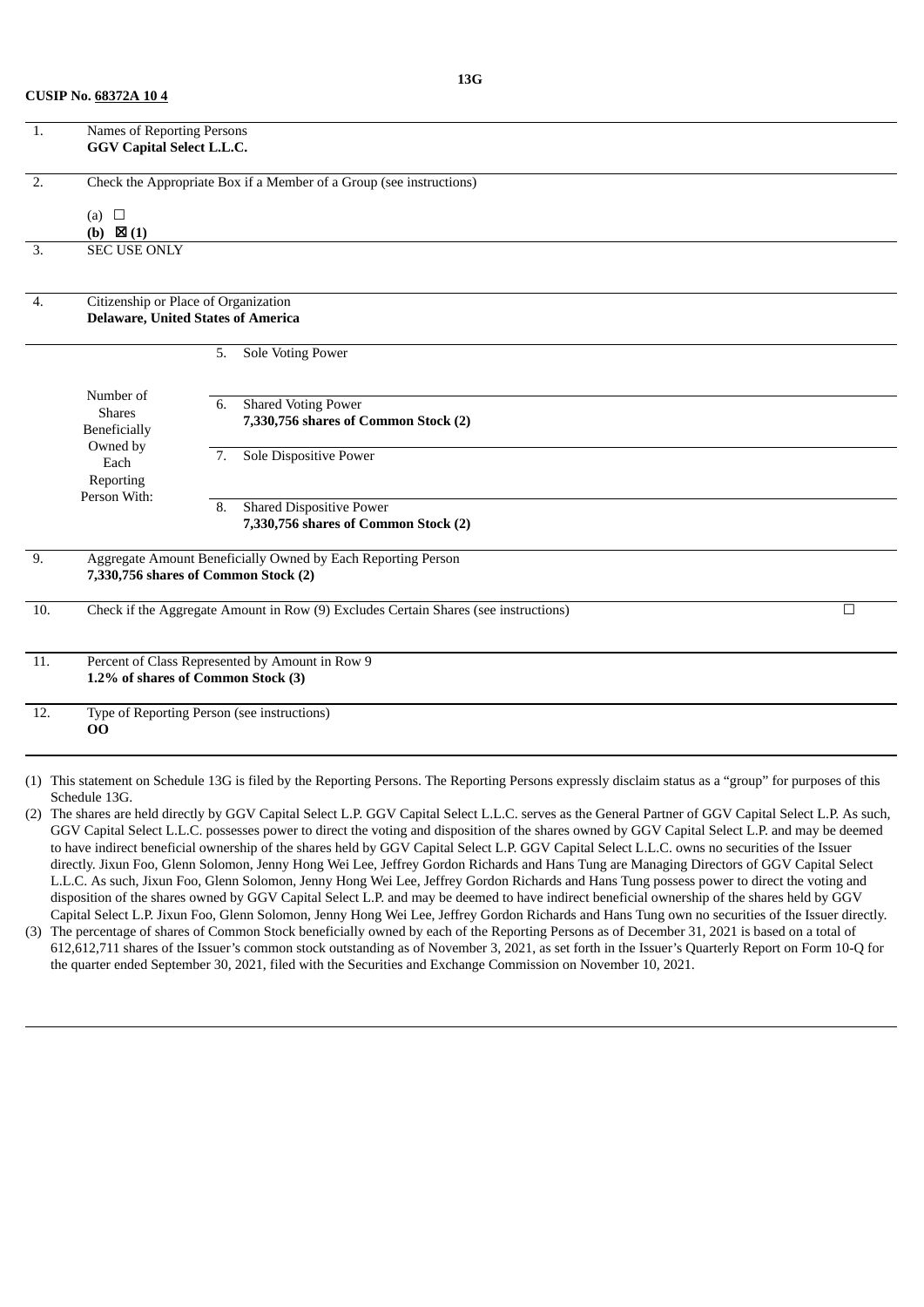| $\overline{1}$ .  | Names of Reporting Persons                        |    |                                                                                                                                                        |        |
|-------------------|---------------------------------------------------|----|--------------------------------------------------------------------------------------------------------------------------------------------------------|--------|
|                   | GGV Capital Select L.L.C.                         |    |                                                                                                                                                        |        |
| $\overline{2}$ .  |                                                   |    | Check the Appropriate Box if a Member of a Group (see instructions)                                                                                    |        |
|                   | (a) $\Box$                                        |    |                                                                                                                                                        |        |
|                   | (b) $\boxtimes$ (1)                               |    |                                                                                                                                                        |        |
| 3.                | <b>SEC USE ONLY</b>                               |    |                                                                                                                                                        |        |
|                   |                                                   |    |                                                                                                                                                        |        |
| $\overline{4}$ .  | Citizenship or Place of Organization              |    |                                                                                                                                                        |        |
|                   | <b>Delaware, United States of America</b>         |    |                                                                                                                                                        |        |
|                   |                                                   | 5. | Sole Voting Power                                                                                                                                      |        |
|                   | Number of                                         |    |                                                                                                                                                        |        |
|                   | <b>Shares</b>                                     | 6. | <b>Shared Voting Power</b>                                                                                                                             |        |
|                   | Beneficially                                      |    | 7,330,756 shares of Common Stock (2)                                                                                                                   |        |
|                   | Owned by<br>Each                                  | 7. | Sole Dispositive Power                                                                                                                                 |        |
|                   | Reporting                                         |    |                                                                                                                                                        |        |
|                   | Person With:                                      | 8. | <b>Shared Dispositive Power</b>                                                                                                                        |        |
|                   |                                                   |    | 7,330,756 shares of Common Stock (2)                                                                                                                   |        |
| 9.                |                                                   |    | Aggregate Amount Beneficially Owned by Each Reporting Person                                                                                           |        |
|                   | 7,330,756 shares of Common Stock (2)              |    |                                                                                                                                                        |        |
| 10.               |                                                   |    | Check if the Aggregate Amount in Row (9) Excludes Certain Shares (see instructions)                                                                    | $\Box$ |
| 11.               |                                                   |    | Percent of Class Represented by Amount in Row 9                                                                                                        |        |
|                   | 1.2% of shares of Common Stock (3)                |    |                                                                                                                                                        |        |
| $\overline{12}$ . | Type of Reporting Person (see instructions)<br>00 |    |                                                                                                                                                        |        |
|                   |                                                   |    | 1) This statement on Schedule 13G is filed by the Reporting Persons. The Reporting Persons expressly disclaim status as a "group" for purposes of this |        |

(1) This statement on Schedule 13G is filed by the Reporting Persons. The Reporting Persons expressly disclaim status as a "group" for purposes of this Schedule 13G.

(2) The shares are held directly by GGV Capital Select L.P. GGV Capital Select L.L.C. serves as the General Partner of GGV Capital Select L.P. As such, GGV Capital Select L.L.C. possesses power to direct the voting and disposition of the shares owned by GGV Capital Select L.P. and may be deemed to have indirect beneficial ownership of the shares held by GGV Capital Select L.P. GGV Capital Select L.L.C. owns no securities of the Issuer directly. Jixun Foo, Glenn Solomon, Jenny Hong Wei Lee, Jeffrey Gordon Richards and Hans Tung are Managing Directors of GGV Capital Select L.L.C. As such, Jixun Foo, Glenn Solomon, Jenny Hong Wei Lee, Jeffrey Gordon Richards and Hans Tung possess power to direct the voting and disposition of the shares owned by GGV Capital Select L.P. and may be deemed to have indirect beneficial ownership of the shares held by GGV Capital Select L.P. Jixun Foo, Glenn Solomon, Jenny Hong Wei Lee, Jeffrey Gordon Richards and Hans Tung own no securities of the Issuer directly.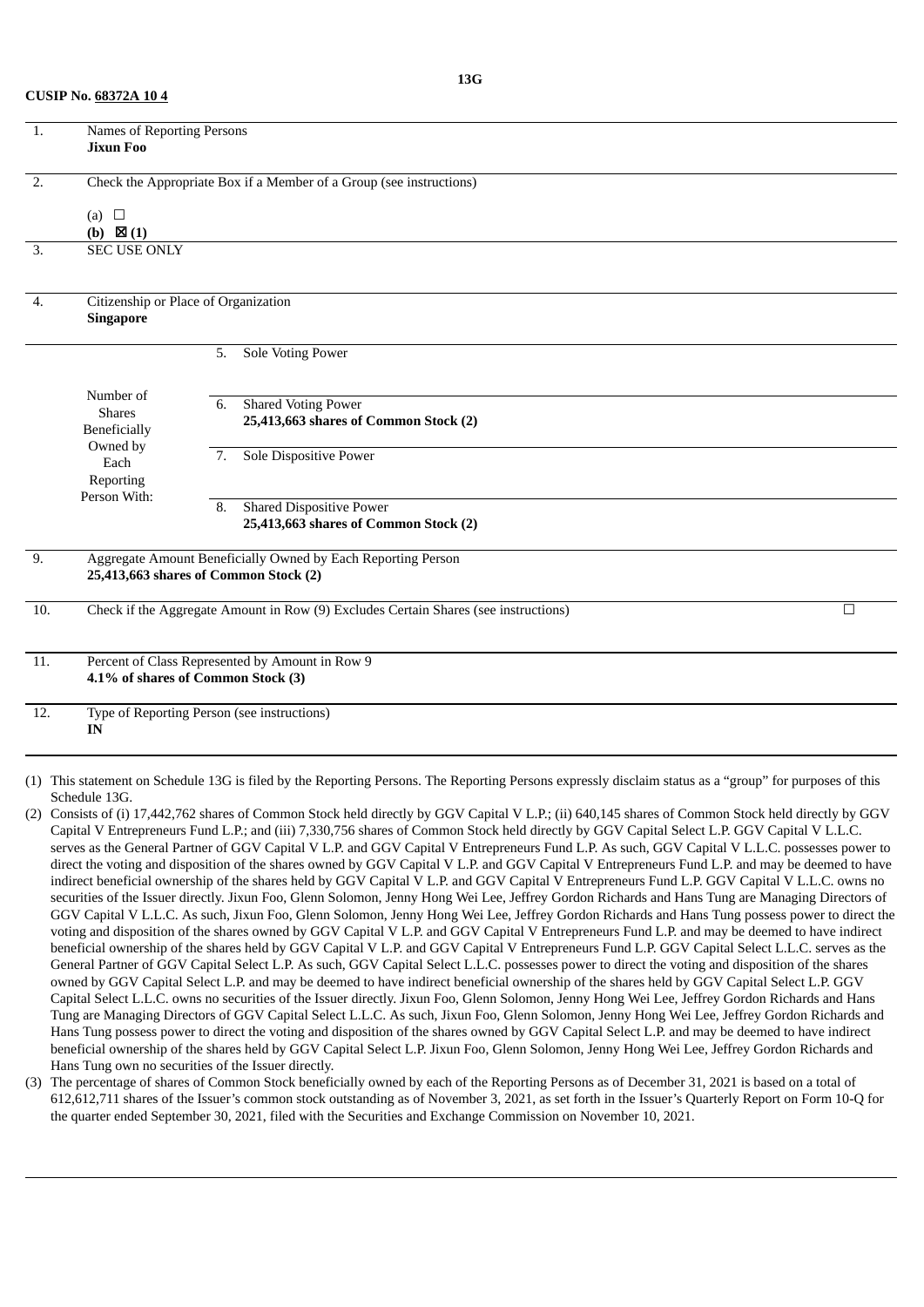| <b>CUSIP No. 68372A 104</b> |  |
|-----------------------------|--|
|-----------------------------|--|

| 1.               | Names of Reporting Persons<br><b>Jixun Foo</b>           |                                                                                                       |        |
|------------------|----------------------------------------------------------|-------------------------------------------------------------------------------------------------------|--------|
| $\overline{2}$ . |                                                          | Check the Appropriate Box if a Member of a Group (see instructions)                                   |        |
|                  | (a) $\Box$<br>(b) $\boxtimes$ (1)                        |                                                                                                       |        |
| 3.               | <b>SEC USE ONLY</b>                                      |                                                                                                       |        |
| 4.               | Citizenship or Place of Organization<br><b>Singapore</b> |                                                                                                       |        |
|                  |                                                          | Sole Voting Power<br>5.                                                                               |        |
|                  | Number of<br><b>Shares</b><br>Beneficially<br>Owned by   | <b>Shared Voting Power</b><br>6.<br>25,413,663 shares of Common Stock (2)                             |        |
|                  | Each<br>Reporting<br>Person With:                        | <b>Sole Dispositive Power</b><br>7.                                                                   |        |
|                  |                                                          | <b>Shared Dispositive Power</b><br>8.<br>25,413,663 shares of Common Stock (2)                        |        |
| 9.               |                                                          | Aggregate Amount Beneficially Owned by Each Reporting Person<br>25,413,663 shares of Common Stock (2) |        |
| 10.              |                                                          | Check if the Aggregate Amount in Row (9) Excludes Certain Shares (see instructions)                   | $\Box$ |
| 11.              |                                                          | Percent of Class Represented by Amount in Row 9<br>4.1% of shares of Common Stock (3)                 |        |
| 12.              | IN                                                       | Type of Reporting Person (see instructions)                                                           |        |
|                  |                                                          |                                                                                                       |        |

- (1) This statement on Schedule 13G is filed by the Reporting Persons. The Reporting Persons expressly disclaim status as a "group" for purposes of this Schedule 13G.
- (2) Consists of (i) 17,442,762 shares of Common Stock held directly by GGV Capital V L.P.; (ii) 640,145 shares of Common Stock held directly by GGV Capital V Entrepreneurs Fund L.P.; and (iii) 7,330,756 shares of Common Stock held directly by GGV Capital Select L.P. GGV Capital V L.L.C. serves as the General Partner of GGV Capital V L.P. and GGV Capital V Entrepreneurs Fund L.P. As such, GGV Capital V L.L.C. possesses power to direct the voting and disposition of the shares owned by GGV Capital V L.P. and GGV Capital V Entrepreneurs Fund L.P. and may be deemed to have indirect beneficial ownership of the shares held by GGV Capital V L.P. and GGV Capital V Entrepreneurs Fund L.P. GGV Capital V L.L.C. owns no securities of the Issuer directly. Jixun Foo, Glenn Solomon, Jenny Hong Wei Lee, Jeffrey Gordon Richards and Hans Tung are Managing Directors of GGV Capital V L.L.C. As such, Jixun Foo, Glenn Solomon, Jenny Hong Wei Lee, Jeffrey Gordon Richards and Hans Tung possess power to direct the voting and disposition of the shares owned by GGV Capital V L.P. and GGV Capital V Entrepreneurs Fund L.P. and may be deemed to have indirect beneficial ownership of the shares held by GGV Capital V L.P. and GGV Capital V Entrepreneurs Fund L.P. GGV Capital Select L.L.C. serves as the General Partner of GGV Capital Select L.P. As such, GGV Capital Select L.L.C. possesses power to direct the voting and disposition of the shares owned by GGV Capital Select L.P. and may be deemed to have indirect beneficial ownership of the shares held by GGV Capital Select L.P. GGV Capital Select L.L.C. owns no securities of the Issuer directly. Jixun Foo, Glenn Solomon, Jenny Hong Wei Lee, Jeffrey Gordon Richards and Hans Tung are Managing Directors of GGV Capital Select L.L.C. As such, Jixun Foo, Glenn Solomon, Jenny Hong Wei Lee, Jeffrey Gordon Richards and Hans Tung possess power to direct the voting and disposition of the shares owned by GGV Capital Select L.P. and may be deemed to have indirect beneficial ownership of the shares held by GGV Capital Select L.P. Jixun Foo, Glenn Solomon, Jenny Hong Wei Lee, Jeffrey Gordon Richards and Hans Tung own no securities of the Issuer directly.
- (3) The percentage of shares of Common Stock beneficially owned by each of the Reporting Persons as of December 31, 2021 is based on a total of 612,612,711 shares of the Issuer's common stock outstanding as of November 3, 2021, as set forth in the Issuer's Quarterly Report on Form 10-Q for the quarter ended September 30, 2021, filed with the Securities and Exchange Commission on November 10, 2021.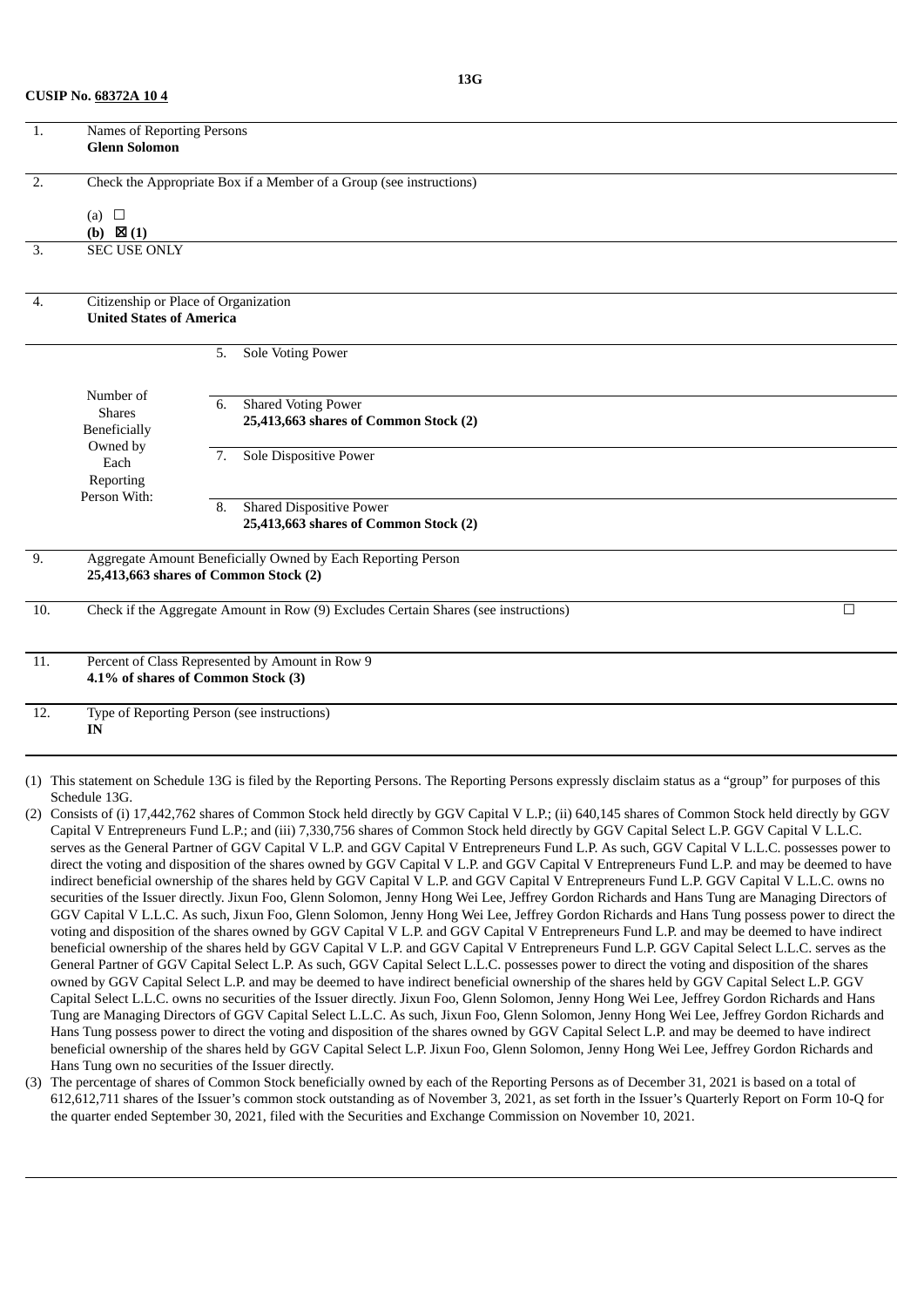| <b>CUSIP No. 68372A 104</b> |  |
|-----------------------------|--|
|-----------------------------|--|

| 1.               | Names of Reporting Persons<br><b>Glenn Solomon</b>                      |                                                                                                       |        |
|------------------|-------------------------------------------------------------------------|-------------------------------------------------------------------------------------------------------|--------|
| $\overline{2}$ . | (a) $\square$<br>(b) $\boxtimes$ (1)                                    | Check the Appropriate Box if a Member of a Group (see instructions)                                   |        |
| 3.               | <b>SEC USE ONLY</b>                                                     |                                                                                                       |        |
| 4.               | Citizenship or Place of Organization<br><b>United States of America</b> |                                                                                                       |        |
|                  |                                                                         | Sole Voting Power<br>5.                                                                               |        |
|                  | Number of<br><b>Shares</b><br>Beneficially<br>Owned by                  | <b>Shared Voting Power</b><br>6.<br>25,413,663 shares of Common Stock (2)                             |        |
|                  | Each<br>Reporting<br>Person With:                                       | Sole Dispositive Power<br>7.                                                                          |        |
|                  |                                                                         | <b>Shared Dispositive Power</b><br>8.<br>25,413,663 shares of Common Stock (2)                        |        |
| 9.               |                                                                         | Aggregate Amount Beneficially Owned by Each Reporting Person<br>25,413,663 shares of Common Stock (2) |        |
| 10.              |                                                                         | Check if the Aggregate Amount in Row (9) Excludes Certain Shares (see instructions)                   | $\Box$ |
| 11.              | 4.1% of shares of Common Stock (3)                                      | Percent of Class Represented by Amount in Row 9                                                       |        |
| 12.              | $\mathbf{IN}$                                                           | Type of Reporting Person (see instructions)                                                           |        |
|                  |                                                                         |                                                                                                       |        |

- (1) This statement on Schedule 13G is filed by the Reporting Persons. The Reporting Persons expressly disclaim status as a "group" for purposes of this Schedule 13G.
- (2) Consists of (i) 17,442,762 shares of Common Stock held directly by GGV Capital V L.P.; (ii) 640,145 shares of Common Stock held directly by GGV Capital V Entrepreneurs Fund L.P.; and (iii) 7,330,756 shares of Common Stock held directly by GGV Capital Select L.P. GGV Capital V L.L.C. serves as the General Partner of GGV Capital V L.P. and GGV Capital V Entrepreneurs Fund L.P. As such, GGV Capital V L.L.C. possesses power to direct the voting and disposition of the shares owned by GGV Capital V L.P. and GGV Capital V Entrepreneurs Fund L.P. and may be deemed to have indirect beneficial ownership of the shares held by GGV Capital V L.P. and GGV Capital V Entrepreneurs Fund L.P. GGV Capital V L.L.C. owns no securities of the Issuer directly. Jixun Foo, Glenn Solomon, Jenny Hong Wei Lee, Jeffrey Gordon Richards and Hans Tung are Managing Directors of GGV Capital V L.L.C. As such, Jixun Foo, Glenn Solomon, Jenny Hong Wei Lee, Jeffrey Gordon Richards and Hans Tung possess power to direct the voting and disposition of the shares owned by GGV Capital V L.P. and GGV Capital V Entrepreneurs Fund L.P. and may be deemed to have indirect beneficial ownership of the shares held by GGV Capital V L.P. and GGV Capital V Entrepreneurs Fund L.P. GGV Capital Select L.L.C. serves as the General Partner of GGV Capital Select L.P. As such, GGV Capital Select L.L.C. possesses power to direct the voting and disposition of the shares owned by GGV Capital Select L.P. and may be deemed to have indirect beneficial ownership of the shares held by GGV Capital Select L.P. GGV Capital Select L.L.C. owns no securities of the Issuer directly. Jixun Foo, Glenn Solomon, Jenny Hong Wei Lee, Jeffrey Gordon Richards and Hans Tung are Managing Directors of GGV Capital Select L.L.C. As such, Jixun Foo, Glenn Solomon, Jenny Hong Wei Lee, Jeffrey Gordon Richards and Hans Tung possess power to direct the voting and disposition of the shares owned by GGV Capital Select L.P. and may be deemed to have indirect beneficial ownership of the shares held by GGV Capital Select L.P. Jixun Foo, Glenn Solomon, Jenny Hong Wei Lee, Jeffrey Gordon Richards and Hans Tung own no securities of the Issuer directly.
- (3) The percentage of shares of Common Stock beneficially owned by each of the Reporting Persons as of December 31, 2021 is based on a total of 612,612,711 shares of the Issuer's common stock outstanding as of November 3, 2021, as set forth in the Issuer's Quarterly Report on Form 10-Q for the quarter ended September 30, 2021, filed with the Securities and Exchange Commission on November 10, 2021.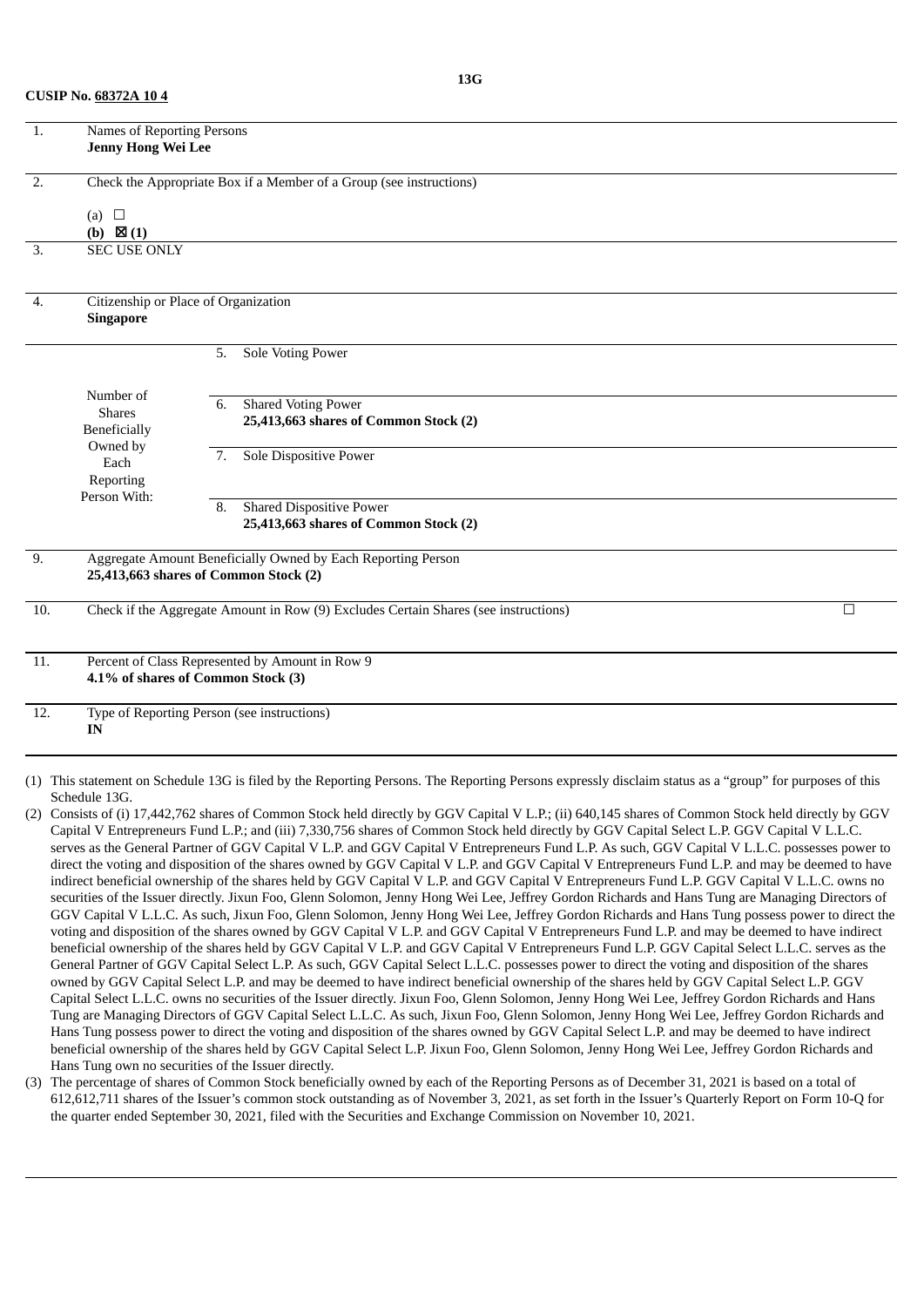|  | <b>CUSIP No. 68372A 104</b> |
|--|-----------------------------|
|--|-----------------------------|

| 1.                | Names of Reporting Persons<br>Jenny Hong Wei Lee         |    |                                                                                     |        |
|-------------------|----------------------------------------------------------|----|-------------------------------------------------------------------------------------|--------|
| $\overline{2}$ .  | (a) $\square$<br>(b) $\boxtimes$ (1)                     |    | Check the Appropriate Box if a Member of a Group (see instructions)                 |        |
| 3.                | <b>SEC USE ONLY</b>                                      |    |                                                                                     |        |
| 4.                | Citizenship or Place of Organization<br><b>Singapore</b> |    |                                                                                     |        |
|                   |                                                          | 5. | <b>Sole Voting Power</b>                                                            |        |
|                   | Number of<br><b>Shares</b><br>Beneficially<br>Owned by   | 6. | <b>Shared Voting Power</b><br>25,413,663 shares of Common Stock (2)                 |        |
|                   | Each<br>Reporting<br>Person With:                        | 7. | Sole Dispositive Power                                                              |        |
|                   |                                                          | 8. | <b>Shared Dispositive Power</b><br>25,413,663 shares of Common Stock (2)            |        |
| $\overline{9}$ .  | 25,413,663 shares of Common Stock (2)                    |    | Aggregate Amount Beneficially Owned by Each Reporting Person                        |        |
| 10.               |                                                          |    | Check if the Aggregate Amount in Row (9) Excludes Certain Shares (see instructions) | $\Box$ |
| 11.               | 4.1% of shares of Common Stock (3)                       |    | Percent of Class Represented by Amount in Row 9                                     |        |
| $\overline{12}$ . | Type of Reporting Person (see instructions)<br>IN        |    |                                                                                     |        |
|                   |                                                          |    |                                                                                     |        |

- (1) This statement on Schedule 13G is filed by the Reporting Persons. The Reporting Persons expressly disclaim status as a "group" for purposes of this Schedule 13G.
- (2) Consists of (i) 17,442,762 shares of Common Stock held directly by GGV Capital V L.P.; (ii) 640,145 shares of Common Stock held directly by GGV Capital V Entrepreneurs Fund L.P.; and (iii) 7,330,756 shares of Common Stock held directly by GGV Capital Select L.P. GGV Capital V L.L.C. serves as the General Partner of GGV Capital V L.P. and GGV Capital V Entrepreneurs Fund L.P. As such, GGV Capital V L.L.C. possesses power to direct the voting and disposition of the shares owned by GGV Capital V L.P. and GGV Capital V Entrepreneurs Fund L.P. and may be deemed to have indirect beneficial ownership of the shares held by GGV Capital V L.P. and GGV Capital V Entrepreneurs Fund L.P. GGV Capital V L.L.C. owns no securities of the Issuer directly. Jixun Foo, Glenn Solomon, Jenny Hong Wei Lee, Jeffrey Gordon Richards and Hans Tung are Managing Directors of GGV Capital V L.L.C. As such, Jixun Foo, Glenn Solomon, Jenny Hong Wei Lee, Jeffrey Gordon Richards and Hans Tung possess power to direct the voting and disposition of the shares owned by GGV Capital V L.P. and GGV Capital V Entrepreneurs Fund L.P. and may be deemed to have indirect beneficial ownership of the shares held by GGV Capital V L.P. and GGV Capital V Entrepreneurs Fund L.P. GGV Capital Select L.L.C. serves as the General Partner of GGV Capital Select L.P. As such, GGV Capital Select L.L.C. possesses power to direct the voting and disposition of the shares owned by GGV Capital Select L.P. and may be deemed to have indirect beneficial ownership of the shares held by GGV Capital Select L.P. GGV Capital Select L.L.C. owns no securities of the Issuer directly. Jixun Foo, Glenn Solomon, Jenny Hong Wei Lee, Jeffrey Gordon Richards and Hans Tung are Managing Directors of GGV Capital Select L.L.C. As such, Jixun Foo, Glenn Solomon, Jenny Hong Wei Lee, Jeffrey Gordon Richards and Hans Tung possess power to direct the voting and disposition of the shares owned by GGV Capital Select L.P. and may be deemed to have indirect beneficial ownership of the shares held by GGV Capital Select L.P. Jixun Foo, Glenn Solomon, Jenny Hong Wei Lee, Jeffrey Gordon Richards and Hans Tung own no securities of the Issuer directly.
- (3) The percentage of shares of Common Stock beneficially owned by each of the Reporting Persons as of December 31, 2021 is based on a total of 612,612,711 shares of the Issuer's common stock outstanding as of November 3, 2021, as set forth in the Issuer's Quarterly Report on Form 10-Q for the quarter ended September 30, 2021, filed with the Securities and Exchange Commission on November 10, 2021.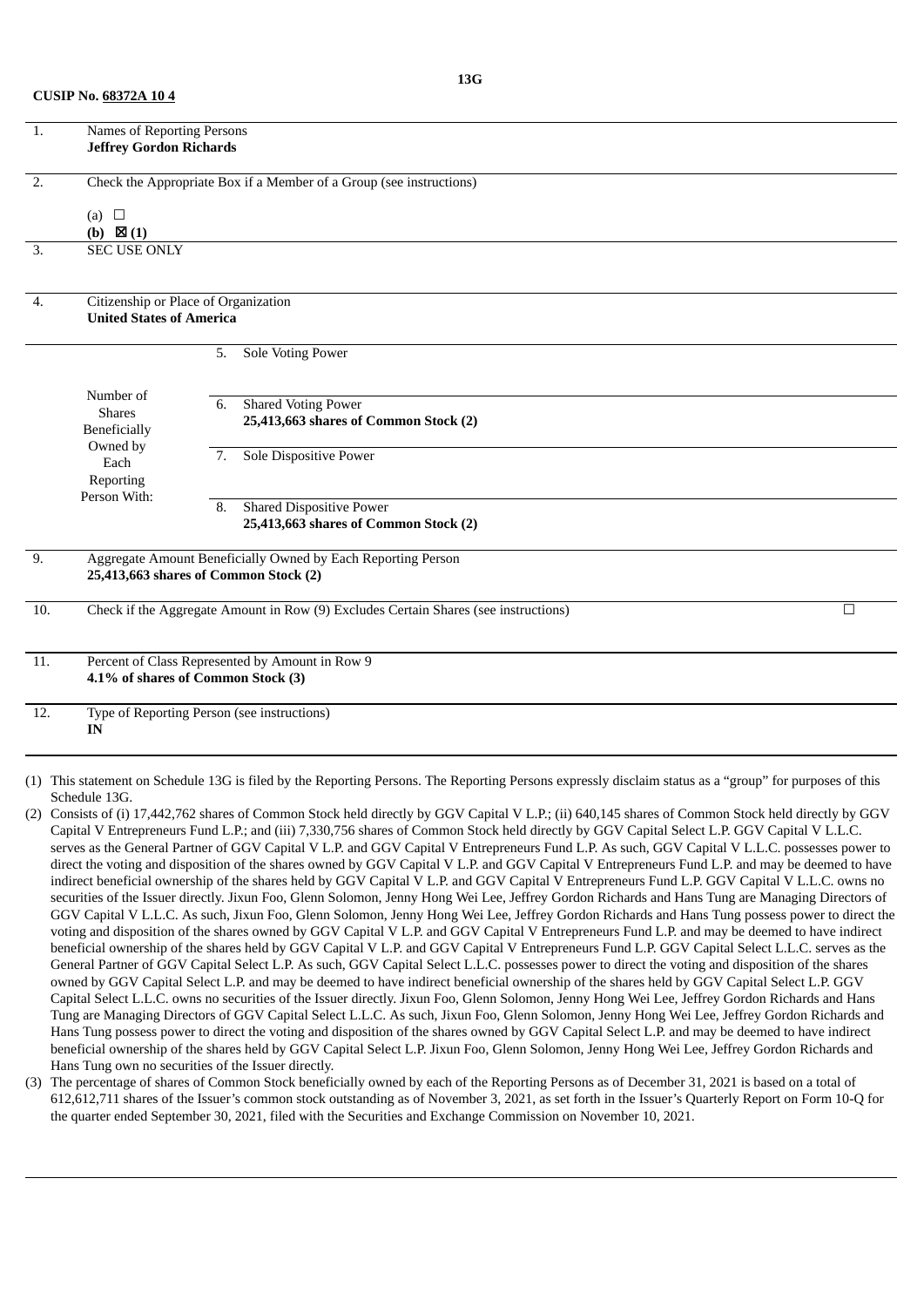|  | <b>CUSIP No. 68372A 104</b> |
|--|-----------------------------|
|--|-----------------------------|

| 1.                | Names of Reporting Persons<br><b>Jeffrey Gordon Richards</b>        |    |                                                                                     |        |  |  |  |  |
|-------------------|---------------------------------------------------------------------|----|-------------------------------------------------------------------------------------|--------|--|--|--|--|
|                   |                                                                     |    |                                                                                     |        |  |  |  |  |
|                   |                                                                     |    |                                                                                     |        |  |  |  |  |
| 2.                | Check the Appropriate Box if a Member of a Group (see instructions) |    |                                                                                     |        |  |  |  |  |
|                   |                                                                     |    |                                                                                     |        |  |  |  |  |
|                   | $\Box$<br>(a)<br>(b) $\boxtimes$ (1)                                |    |                                                                                     |        |  |  |  |  |
| 3.                | <b>SEC USE ONLY</b>                                                 |    |                                                                                     |        |  |  |  |  |
|                   |                                                                     |    |                                                                                     |        |  |  |  |  |
|                   |                                                                     |    |                                                                                     |        |  |  |  |  |
| 4.                | Citizenship or Place of Organization                                |    |                                                                                     |        |  |  |  |  |
|                   | <b>United States of America</b>                                     |    |                                                                                     |        |  |  |  |  |
|                   |                                                                     |    |                                                                                     |        |  |  |  |  |
|                   |                                                                     | 5. | Sole Voting Power                                                                   |        |  |  |  |  |
|                   |                                                                     |    |                                                                                     |        |  |  |  |  |
|                   | Number of                                                           | 6. | <b>Shared Voting Power</b>                                                          |        |  |  |  |  |
|                   | <b>Shares</b>                                                       |    | 25,413,663 shares of Common Stock (2)                                               |        |  |  |  |  |
|                   | Beneficially<br>Owned by                                            |    |                                                                                     |        |  |  |  |  |
|                   | Each                                                                | 7. | <b>Sole Dispositive Power</b>                                                       |        |  |  |  |  |
|                   | Reporting                                                           |    |                                                                                     |        |  |  |  |  |
|                   | Person With:                                                        | 8. | <b>Shared Dispositive Power</b>                                                     |        |  |  |  |  |
|                   |                                                                     |    | 25,413,663 shares of Common Stock (2)                                               |        |  |  |  |  |
|                   |                                                                     |    |                                                                                     |        |  |  |  |  |
| 9.                |                                                                     |    | Aggregate Amount Beneficially Owned by Each Reporting Person                        |        |  |  |  |  |
|                   | 25,413,663 shares of Common Stock (2)                               |    |                                                                                     |        |  |  |  |  |
|                   |                                                                     |    |                                                                                     |        |  |  |  |  |
| 10.               |                                                                     |    | Check if the Aggregate Amount in Row (9) Excludes Certain Shares (see instructions) | $\Box$ |  |  |  |  |
|                   |                                                                     |    |                                                                                     |        |  |  |  |  |
| $\overline{11}$ . | Percent of Class Represented by Amount in Row 9                     |    |                                                                                     |        |  |  |  |  |
|                   | 4.1% of shares of Common Stock (3)                                  |    |                                                                                     |        |  |  |  |  |
|                   |                                                                     |    |                                                                                     |        |  |  |  |  |
| 12.               | Type of Reporting Person (see instructions)                         |    |                                                                                     |        |  |  |  |  |
|                   | IN                                                                  |    |                                                                                     |        |  |  |  |  |
|                   |                                                                     |    |                                                                                     |        |  |  |  |  |

- (1) This statement on Schedule 13G is filed by the Reporting Persons. The Reporting Persons expressly disclaim status as a "group" for purposes of this Schedule 13G.
- (2) Consists of (i) 17,442,762 shares of Common Stock held directly by GGV Capital V L.P.; (ii) 640,145 shares of Common Stock held directly by GGV Capital V Entrepreneurs Fund L.P.; and (iii) 7,330,756 shares of Common Stock held directly by GGV Capital Select L.P. GGV Capital V L.L.C. serves as the General Partner of GGV Capital V L.P. and GGV Capital V Entrepreneurs Fund L.P. As such, GGV Capital V L.L.C. possesses power to direct the voting and disposition of the shares owned by GGV Capital V L.P. and GGV Capital V Entrepreneurs Fund L.P. and may be deemed to have indirect beneficial ownership of the shares held by GGV Capital V L.P. and GGV Capital V Entrepreneurs Fund L.P. GGV Capital V L.L.C. owns no securities of the Issuer directly. Jixun Foo, Glenn Solomon, Jenny Hong Wei Lee, Jeffrey Gordon Richards and Hans Tung are Managing Directors of GGV Capital V L.L.C. As such, Jixun Foo, Glenn Solomon, Jenny Hong Wei Lee, Jeffrey Gordon Richards and Hans Tung possess power to direct the voting and disposition of the shares owned by GGV Capital V L.P. and GGV Capital V Entrepreneurs Fund L.P. and may be deemed to have indirect beneficial ownership of the shares held by GGV Capital V L.P. and GGV Capital V Entrepreneurs Fund L.P. GGV Capital Select L.L.C. serves as the General Partner of GGV Capital Select L.P. As such, GGV Capital Select L.L.C. possesses power to direct the voting and disposition of the shares owned by GGV Capital Select L.P. and may be deemed to have indirect beneficial ownership of the shares held by GGV Capital Select L.P. GGV Capital Select L.L.C. owns no securities of the Issuer directly. Jixun Foo, Glenn Solomon, Jenny Hong Wei Lee, Jeffrey Gordon Richards and Hans Tung are Managing Directors of GGV Capital Select L.L.C. As such, Jixun Foo, Glenn Solomon, Jenny Hong Wei Lee, Jeffrey Gordon Richards and Hans Tung possess power to direct the voting and disposition of the shares owned by GGV Capital Select L.P. and may be deemed to have indirect beneficial ownership of the shares held by GGV Capital Select L.P. Jixun Foo, Glenn Solomon, Jenny Hong Wei Lee, Jeffrey Gordon Richards and Hans Tung own no securities of the Issuer directly.
- (3) The percentage of shares of Common Stock beneficially owned by each of the Reporting Persons as of December 31, 2021 is based on a total of 612,612,711 shares of the Issuer's common stock outstanding as of November 3, 2021, as set forth in the Issuer's Quarterly Report on Form 10-Q for the quarter ended September 30, 2021, filed with the Securities and Exchange Commission on November 10, 2021.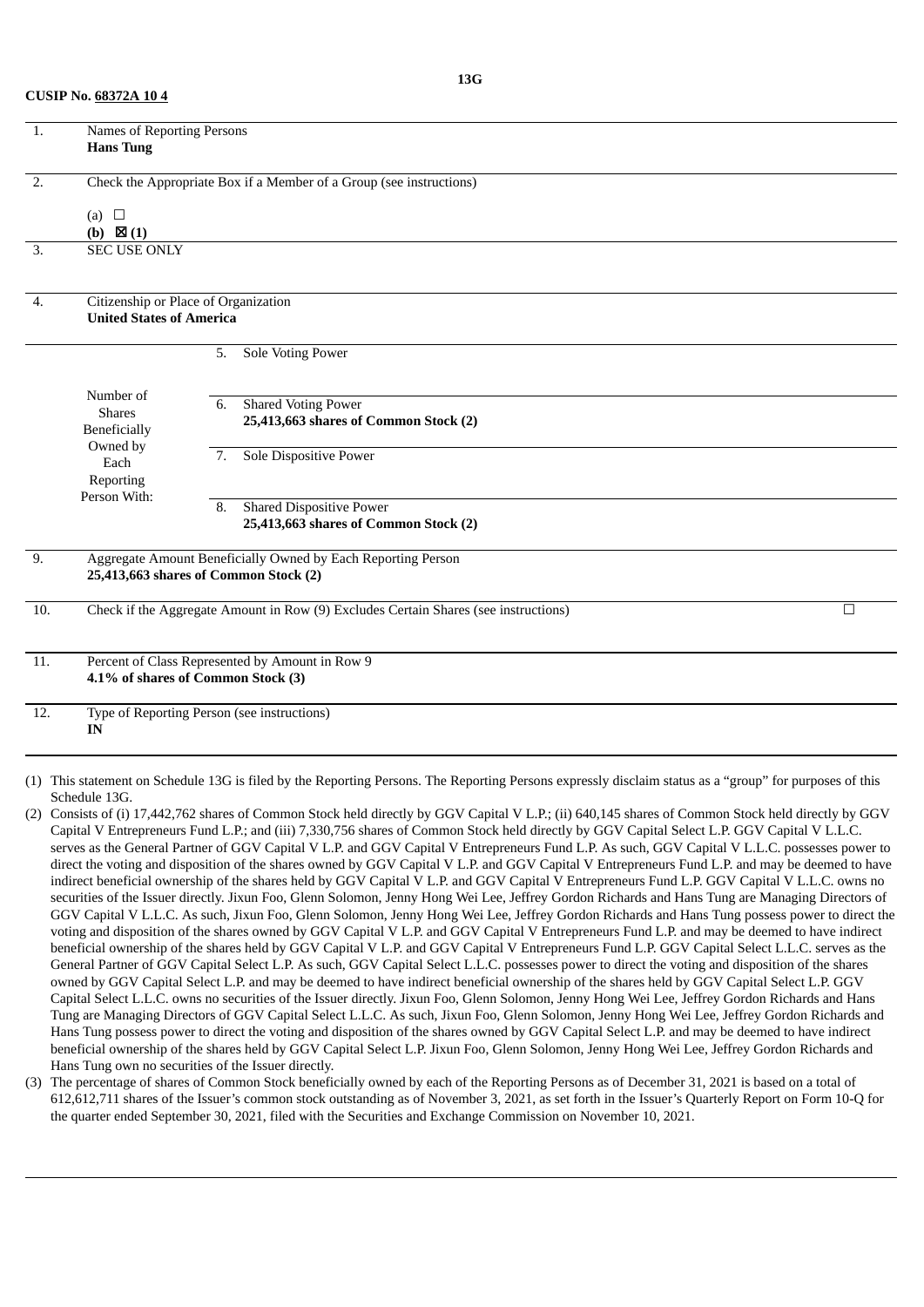**CUSIP No. 68372A 10 4**

| 1.                                                                                         | Names of Reporting Persons                                          |                                       |  |  |  |  |  |
|--------------------------------------------------------------------------------------------|---------------------------------------------------------------------|---------------------------------------|--|--|--|--|--|
|                                                                                            | <b>Hans Tung</b>                                                    |                                       |  |  |  |  |  |
| $\overline{2}$ .                                                                           |                                                                     |                                       |  |  |  |  |  |
|                                                                                            | Check the Appropriate Box if a Member of a Group (see instructions) |                                       |  |  |  |  |  |
|                                                                                            | (a) $\square$                                                       |                                       |  |  |  |  |  |
|                                                                                            | (b) $\boxtimes$ (1)                                                 |                                       |  |  |  |  |  |
| 3.                                                                                         | <b>SEC USE ONLY</b>                                                 |                                       |  |  |  |  |  |
|                                                                                            |                                                                     |                                       |  |  |  |  |  |
| 4.                                                                                         | Citizenship or Place of Organization                                |                                       |  |  |  |  |  |
|                                                                                            | <b>United States of America</b>                                     |                                       |  |  |  |  |  |
|                                                                                            |                                                                     | Sole Voting Power<br>5.               |  |  |  |  |  |
|                                                                                            |                                                                     |                                       |  |  |  |  |  |
|                                                                                            | Number of                                                           | <b>Shared Voting Power</b><br>6.      |  |  |  |  |  |
|                                                                                            | <b>Shares</b><br><b>Beneficially</b>                                | 25,413,663 shares of Common Stock (2) |  |  |  |  |  |
|                                                                                            | Owned by                                                            |                                       |  |  |  |  |  |
|                                                                                            | Each                                                                | Sole Dispositive Power<br>7.          |  |  |  |  |  |
|                                                                                            | Reporting<br>Person With:                                           |                                       |  |  |  |  |  |
|                                                                                            |                                                                     | <b>Shared Dispositive Power</b><br>8. |  |  |  |  |  |
|                                                                                            |                                                                     | 25,413,663 shares of Common Stock (2) |  |  |  |  |  |
| 9.                                                                                         | Aggregate Amount Beneficially Owned by Each Reporting Person        |                                       |  |  |  |  |  |
|                                                                                            | 25,413,663 shares of Common Stock (2)                               |                                       |  |  |  |  |  |
| Check if the Aggregate Amount in Row (9) Excludes Certain Shares (see instructions)<br>10. |                                                                     |                                       |  |  |  |  |  |
|                                                                                            |                                                                     |                                       |  |  |  |  |  |
| 11.                                                                                        | Percent of Class Represented by Amount in Row 9                     |                                       |  |  |  |  |  |
|                                                                                            | 4.1% of shares of Common Stock (3)                                  |                                       |  |  |  |  |  |
| 12.                                                                                        | Type of Reporting Person (see instructions)                         |                                       |  |  |  |  |  |
|                                                                                            | IN                                                                  |                                       |  |  |  |  |  |
|                                                                                            |                                                                     |                                       |  |  |  |  |  |
|                                                                                            |                                                                     | $1.1.490 \leq 0.11 \leq 1.5$          |  |  |  |  |  |

- (1) This statement on Schedule 13G is filed by the Reporting Persons. The Reporting Persons expressly disclaim status as a "group" for purposes of this Schedule 13G.
- (2) Consists of (i) 17,442,762 shares of Common Stock held directly by GGV Capital V L.P.; (ii) 640,145 shares of Common Stock held directly by GGV Capital V Entrepreneurs Fund L.P.; and (iii) 7,330,756 shares of Common Stock held directly by GGV Capital Select L.P. GGV Capital V L.L.C. serves as the General Partner of GGV Capital V L.P. and GGV Capital V Entrepreneurs Fund L.P. As such, GGV Capital V L.L.C. possesses power to direct the voting and disposition of the shares owned by GGV Capital V L.P. and GGV Capital V Entrepreneurs Fund L.P. and may be deemed to have indirect beneficial ownership of the shares held by GGV Capital V L.P. and GGV Capital V Entrepreneurs Fund L.P. GGV Capital V L.L.C. owns no securities of the Issuer directly. Jixun Foo, Glenn Solomon, Jenny Hong Wei Lee, Jeffrey Gordon Richards and Hans Tung are Managing Directors of GGV Capital V L.L.C. As such, Jixun Foo, Glenn Solomon, Jenny Hong Wei Lee, Jeffrey Gordon Richards and Hans Tung possess power to direct the voting and disposition of the shares owned by GGV Capital V L.P. and GGV Capital V Entrepreneurs Fund L.P. and may be deemed to have indirect beneficial ownership of the shares held by GGV Capital V L.P. and GGV Capital V Entrepreneurs Fund L.P. GGV Capital Select L.L.C. serves as the General Partner of GGV Capital Select L.P. As such, GGV Capital Select L.L.C. possesses power to direct the voting and disposition of the shares owned by GGV Capital Select L.P. and may be deemed to have indirect beneficial ownership of the shares held by GGV Capital Select L.P. GGV Capital Select L.L.C. owns no securities of the Issuer directly. Jixun Foo, Glenn Solomon, Jenny Hong Wei Lee, Jeffrey Gordon Richards and Hans Tung are Managing Directors of GGV Capital Select L.L.C. As such, Jixun Foo, Glenn Solomon, Jenny Hong Wei Lee, Jeffrey Gordon Richards and Hans Tung possess power to direct the voting and disposition of the shares owned by GGV Capital Select L.P. and may be deemed to have indirect beneficial ownership of the shares held by GGV Capital Select L.P. Jixun Foo, Glenn Solomon, Jenny Hong Wei Lee, Jeffrey Gordon Richards and Hans Tung own no securities of the Issuer directly.
- (3) The percentage of shares of Common Stock beneficially owned by each of the Reporting Persons as of December 31, 2021 is based on a total of 612,612,711 shares of the Issuer's common stock outstanding as of November 3, 2021, as set forth in the Issuer's Quarterly Report on Form 10-Q for the quarter ended September 30, 2021, filed with the Securities and Exchange Commission on November 10, 2021.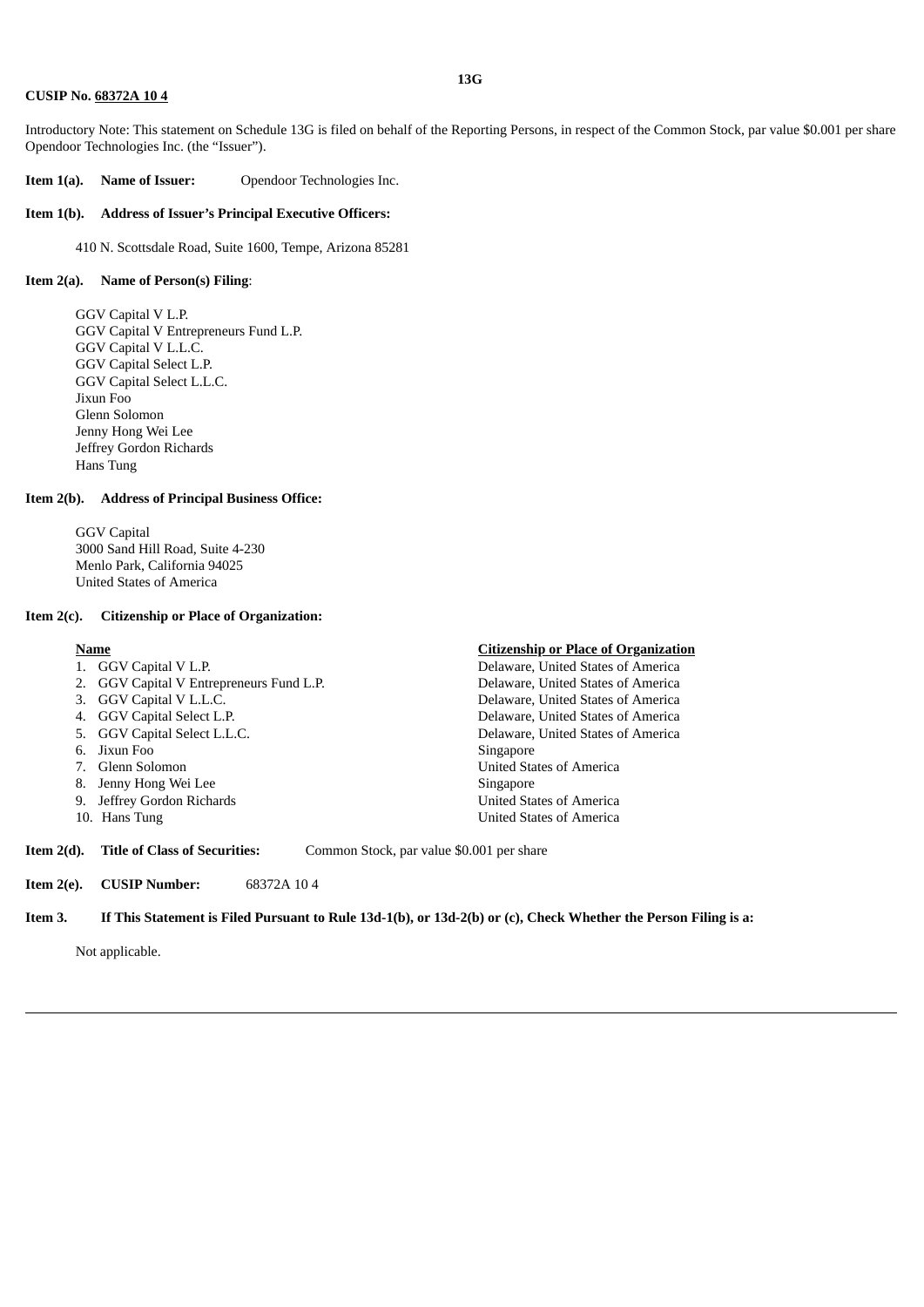#### **CUSIP No. 68372A 10 4**

Introductory Note: This statement on Schedule 13G is filed on behalf of the Reporting Persons, in respect of the Common Stock, par value \$0.001 per share Opendoor Technologies Inc. (the "Issuer").

**Item 1(a). Name of Issuer:** Opendoor Technologies Inc.

#### **Item 1(b). Address of Issuer's Principal Executive Officers:**

410 N. Scottsdale Road, Suite 1600, Tempe, Arizona 85281

#### **Item 2(a). Name of Person(s) Filing**:

GGV Capital V L.P. GGV Capital V Entrepreneurs Fund L.P. GGV Capital V L.L.C. GGV Capital Select L.P. GGV Capital Select L.L.C. Jixun Foo Glenn Solomon Jenny Hong Wei Lee Jeffrey Gordon Richards Hans Tung

#### **Item 2(b). Address of Principal Business Office:**

GGV Capital 3000 Sand Hill Road, Suite 4-230 Menlo Park, California 94025 United States of America

#### **Item 2(c). Citizenship or Place of Organization:**

- 
- 
- 
- 
- 
- 
- 8. Jenny Hong Wei Lee Singapore
- 9. Jeffrey Gordon Richards United States of America
- 

#### **Name Citizenship or Place of Organization**

1. GGV Capital V L.P. **Delaware, United States of America** 2. GGV Capital V Entrepreneurs Fund L.P. Delaware, United States of America Delaware, United States of America 4. GGV Capital Select L.P. Delaware, United States of America 5. GGV Capital Select L.L.C. Delaware, United States of America 6. Jixun Foo Singapore 7. Glenn Solomon United States of America 10. Hans Tung United States of America

**Item 2(d). Title of Class of Securities:** Common Stock, par value \$0.001 per share

**Item 2(e). CUSIP Number:** 68372A 10 4

#### Item 3. If This Statement is Filed Pursuant to Rule 13d-1(b), or 13d-2(b) or (c), Check Whether the Person Filing is a:

Not applicable.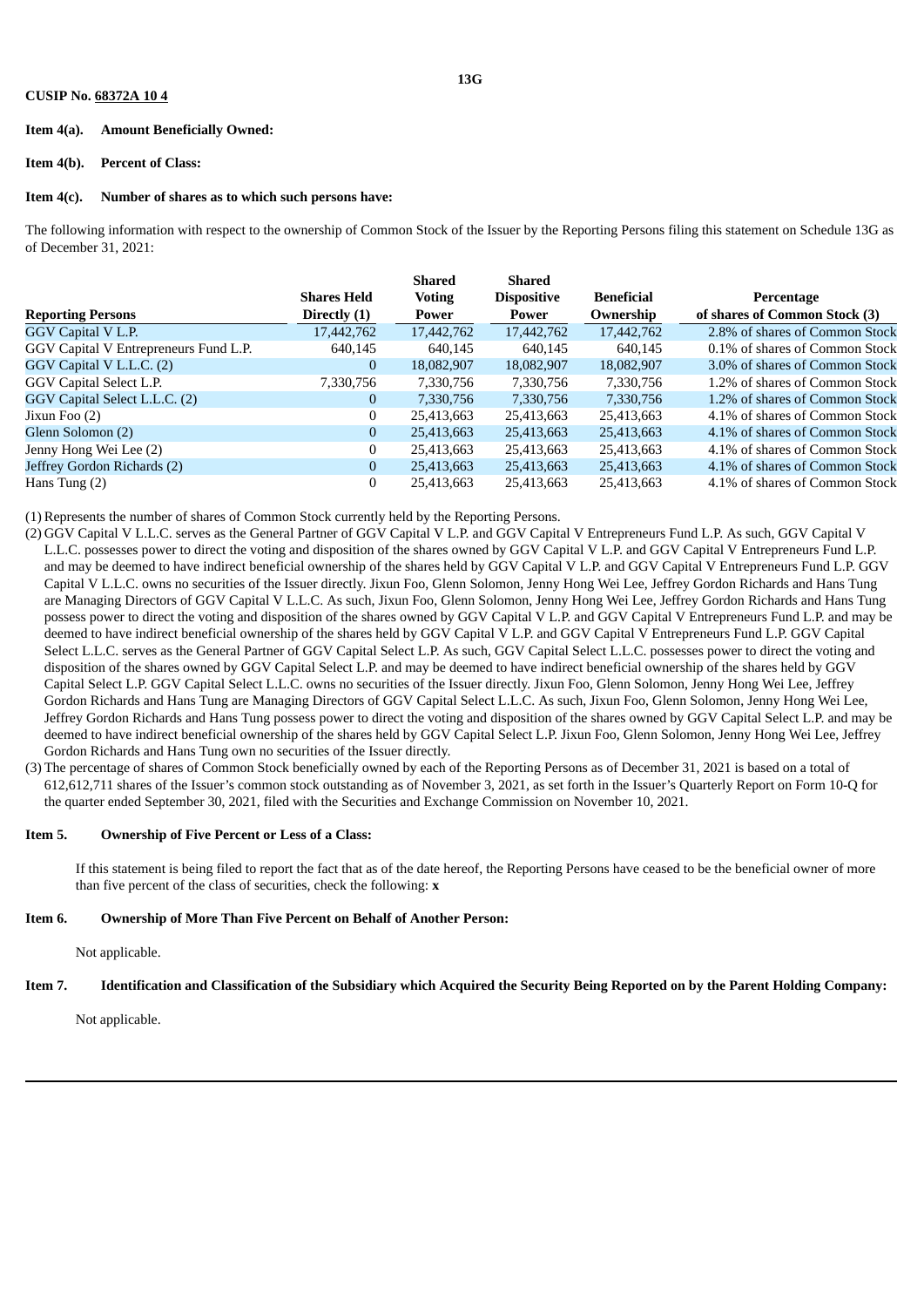#### **CUSIP No. 68372A 10 4**

#### **Item 4(a). Amount Beneficially Owned:**

#### **Item 4(b). Percent of Class:**

#### **Item 4(c). Number of shares as to which such persons have:**

The following information with respect to the ownership of Common Stock of the Issuer by the Reporting Persons filing this statement on Schedule 13G as of December 31, 2021:

|                                       |                    | <b>Shared</b> | <b>Shared</b>      |                   |                                |
|---------------------------------------|--------------------|---------------|--------------------|-------------------|--------------------------------|
|                                       | <b>Shares Held</b> | <b>Voting</b> | <b>Dispositive</b> | <b>Beneficial</b> | Percentage                     |
| <b>Reporting Persons</b>              | Directly (1)       | Power         | Power              | Ownership         | of shares of Common Stock (3)  |
| GGV Capital V L.P.                    | 17,442,762         | 17,442,762    | 17,442,762         | 17,442,762        | 2.8% of shares of Common Stock |
| GGV Capital V Entrepreneurs Fund L.P. | 640,145            | 640,145       | 640,145            | 640.145           | 0.1% of shares of Common Stock |
| GGV Capital V L.L.C. (2)              | $\overline{0}$     | 18,082,907    | 18,082,907         | 18,082,907        | 3.0% of shares of Common Stock |
| GGV Capital Select L.P.               | 7,330,756          | 7,330,756     | 7,330,756          | 7,330,756         | 1.2% of shares of Common Stock |
| GGV Capital Select L.L.C. (2)         | $\overline{0}$     | 7,330,756     | 7,330,756          | 7,330,756         | 1.2% of shares of Common Stock |
| Jixun Foo $(2)$                       | $\mathbf{0}$       | 25,413,663    | 25,413,663         | 25,413,663        | 4.1% of shares of Common Stock |
| Glenn Solomon (2)                     | $\overline{0}$     | 25,413,663    | 25,413,663         | 25,413,663        | 4.1% of shares of Common Stock |
| Jenny Hong Wei Lee (2)                | $\Omega$           | 25,413,663    | 25,413,663         | 25,413,663        | 4.1% of shares of Common Stock |
| Jeffrey Gordon Richards (2)           | $\theta$           | 25,413,663    | 25,413,663         | 25,413,663        | 4.1% of shares of Common Stock |
| Hans Tung $(2)$                       | $\Omega$           | 25,413,663    | 25,413,663         | 25,413,663        | 4.1% of shares of Common Stock |

(1) Represents the number of shares of Common Stock currently held by the Reporting Persons.

- (2) GGV Capital V L.L.C. serves as the General Partner of GGV Capital V L.P. and GGV Capital V Entrepreneurs Fund L.P. As such, GGV Capital V L.L.C. possesses power to direct the voting and disposition of the shares owned by GGV Capital V L.P. and GGV Capital V Entrepreneurs Fund L.P. and may be deemed to have indirect beneficial ownership of the shares held by GGV Capital V L.P. and GGV Capital V Entrepreneurs Fund L.P. GGV Capital V L.L.C. owns no securities of the Issuer directly. Jixun Foo, Glenn Solomon, Jenny Hong Wei Lee, Jeffrey Gordon Richards and Hans Tung are Managing Directors of GGV Capital V L.L.C. As such, Jixun Foo, Glenn Solomon, Jenny Hong Wei Lee, Jeffrey Gordon Richards and Hans Tung possess power to direct the voting and disposition of the shares owned by GGV Capital V L.P. and GGV Capital V Entrepreneurs Fund L.P. and may be deemed to have indirect beneficial ownership of the shares held by GGV Capital V L.P. and GGV Capital V Entrepreneurs Fund L.P. GGV Capital Select L.L.C. serves as the General Partner of GGV Capital Select L.P. As such, GGV Capital Select L.L.C. possesses power to direct the voting and disposition of the shares owned by GGV Capital Select L.P. and may be deemed to have indirect beneficial ownership of the shares held by GGV Capital Select L.P. GGV Capital Select L.L.C. owns no securities of the Issuer directly. Jixun Foo, Glenn Solomon, Jenny Hong Wei Lee, Jeffrey Gordon Richards and Hans Tung are Managing Directors of GGV Capital Select L.L.C. As such, Jixun Foo, Glenn Solomon, Jenny Hong Wei Lee, Jeffrey Gordon Richards and Hans Tung possess power to direct the voting and disposition of the shares owned by GGV Capital Select L.P. and may be deemed to have indirect beneficial ownership of the shares held by GGV Capital Select L.P. Jixun Foo, Glenn Solomon, Jenny Hong Wei Lee, Jeffrey Gordon Richards and Hans Tung own no securities of the Issuer directly.
- (3) The percentage of shares of Common Stock beneficially owned by each of the Reporting Persons as of December 31, 2021 is based on a total of 612,612,711 shares of the Issuer's common stock outstanding as of November 3, 2021, as set forth in the Issuer's Quarterly Report on Form 10-Q for the quarter ended September 30, 2021, filed with the Securities and Exchange Commission on November 10, 2021.

#### **Item 5. Ownership of Five Percent or Less of a Class:**

If this statement is being filed to report the fact that as of the date hereof, the Reporting Persons have ceased to be the beneficial owner of more than five percent of the class of securities, check the following: **x**

#### **Item 6. Ownership of More Than Five Percent on Behalf of Another Person:**

Not applicable.

#### Item 7. Identification and Classification of the Subsidiary which Acquired the Security Being Reported on by the Parent Holding Company:

Not applicable.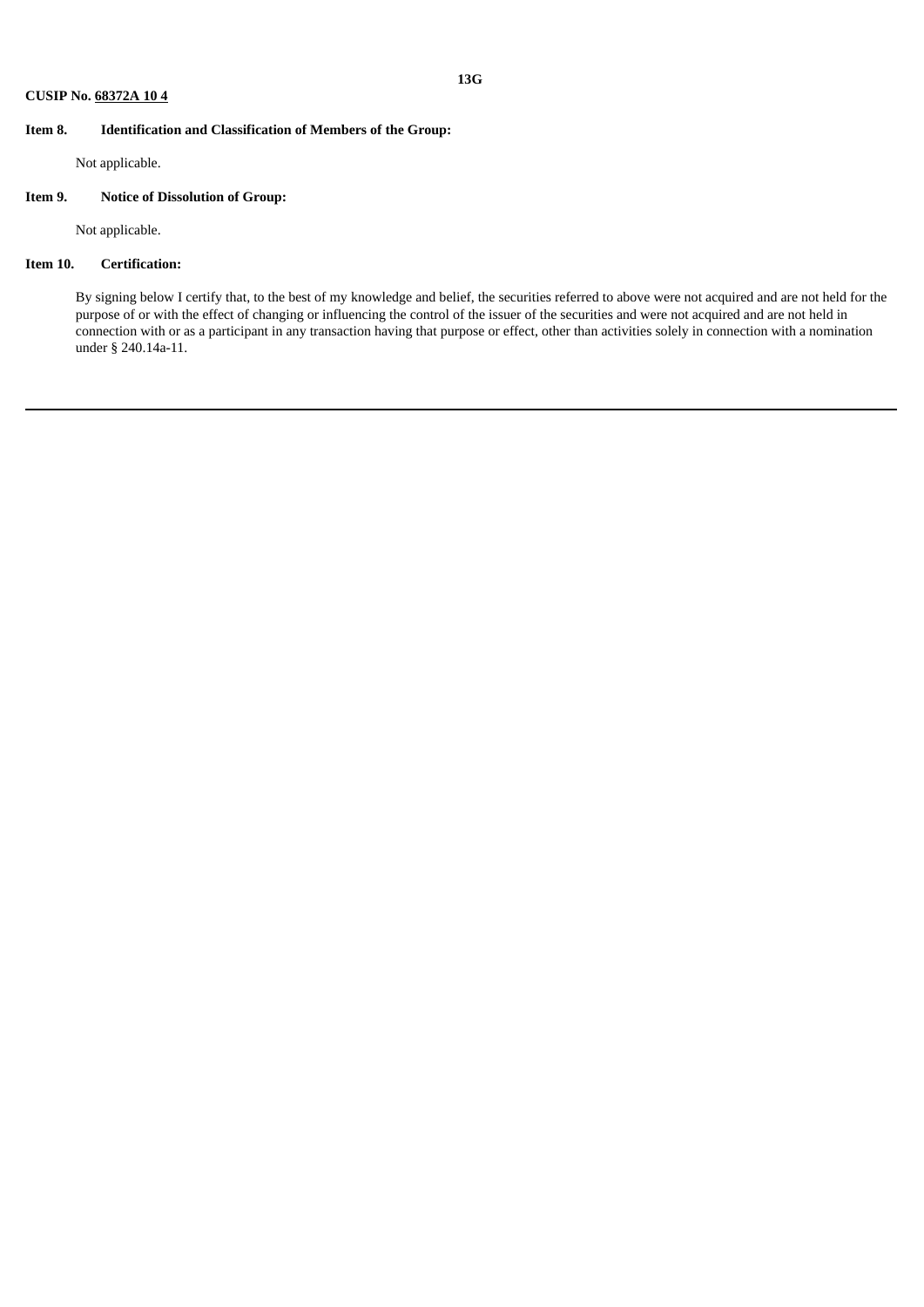#### **Item 8. Identification and Classification of Members of the Group:**

Not applicable.

### **Item 9. Notice of Dissolution of Group:**

Not applicable.

### **Item 10. Certification:**

By signing below I certify that, to the best of my knowledge and belief, the securities referred to above were not acquired and are not held for the purpose of or with the effect of changing or influencing the control of the issuer of the securities and were not acquired and are not held in connection with or as a participant in any transaction having that purpose or effect, other than activities solely in connection with a nomination under § 240.14a-11.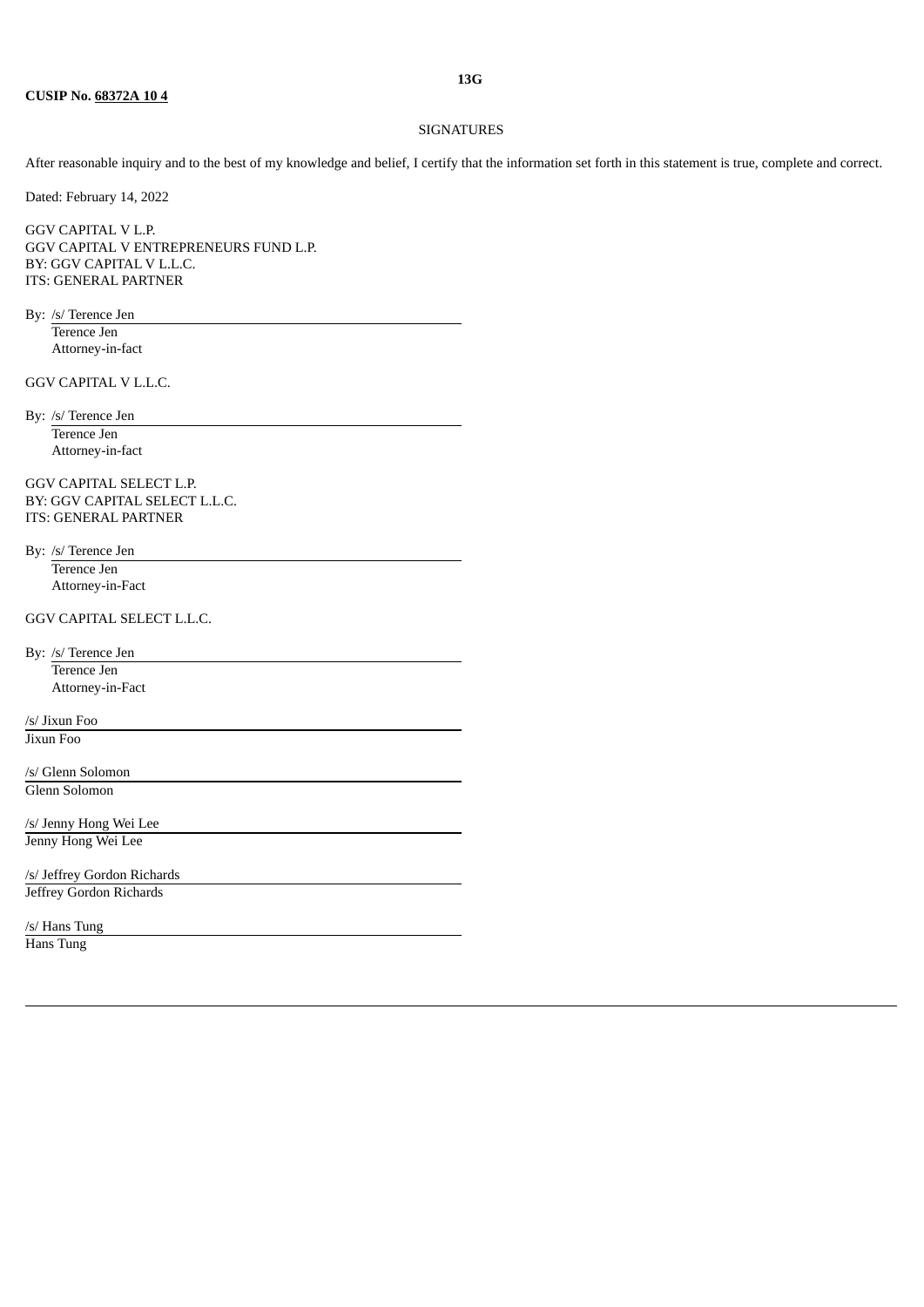#### SIGNATURES

After reasonable inquiry and to the best of my knowledge and belief, I certify that the information set forth in this statement is true, complete and correct.

Dated: February 14, 2022

GGV CAPITAL V L.P. GGV CAPITAL V ENTREPRENEURS FUND L.P. BY: GGV CAPITAL V L.L.C. ITS: GENERAL PARTNER

By: /s/ Terence Jen

Terence Jen Attorney-in-fact

GGV CAPITAL V L.L.C.

By: /s/ Terence Jen Terence Jen Attorney-in-fact

GGV CAPITAL SELECT L.P. BY: GGV CAPITAL SELECT L.L.C. ITS: GENERAL PARTNER

By: /s/ Terence Jen Terence Jen Attorney-in-Fact

GGV CAPITAL SELECT L.L.C.

By: /s/ Terence Jen Terence Jen Attorney-in-Fact

/s/ Jixun Foo Jixun Foo

/s/ Glenn Solomon Glenn Solomon

/s/ Jenny Hong Wei Lee Jenny Hong Wei Lee

/s/ Jeffrey Gordon Richards Jeffrey Gordon Richards

/s/ Hans Tung

Hans Tung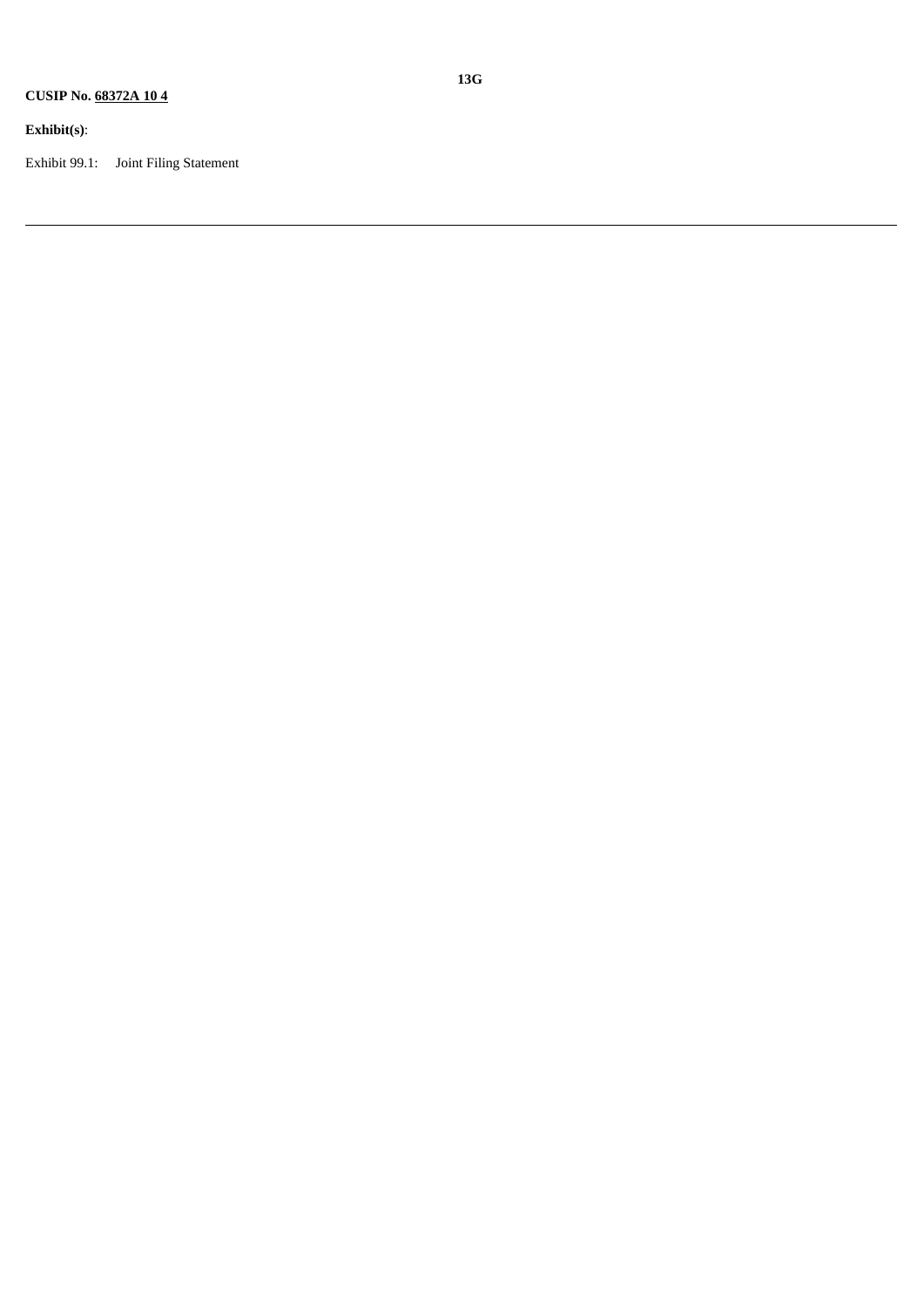## **Exhibit(s)**:

Exhibit 99.1: Joint Filing Statement